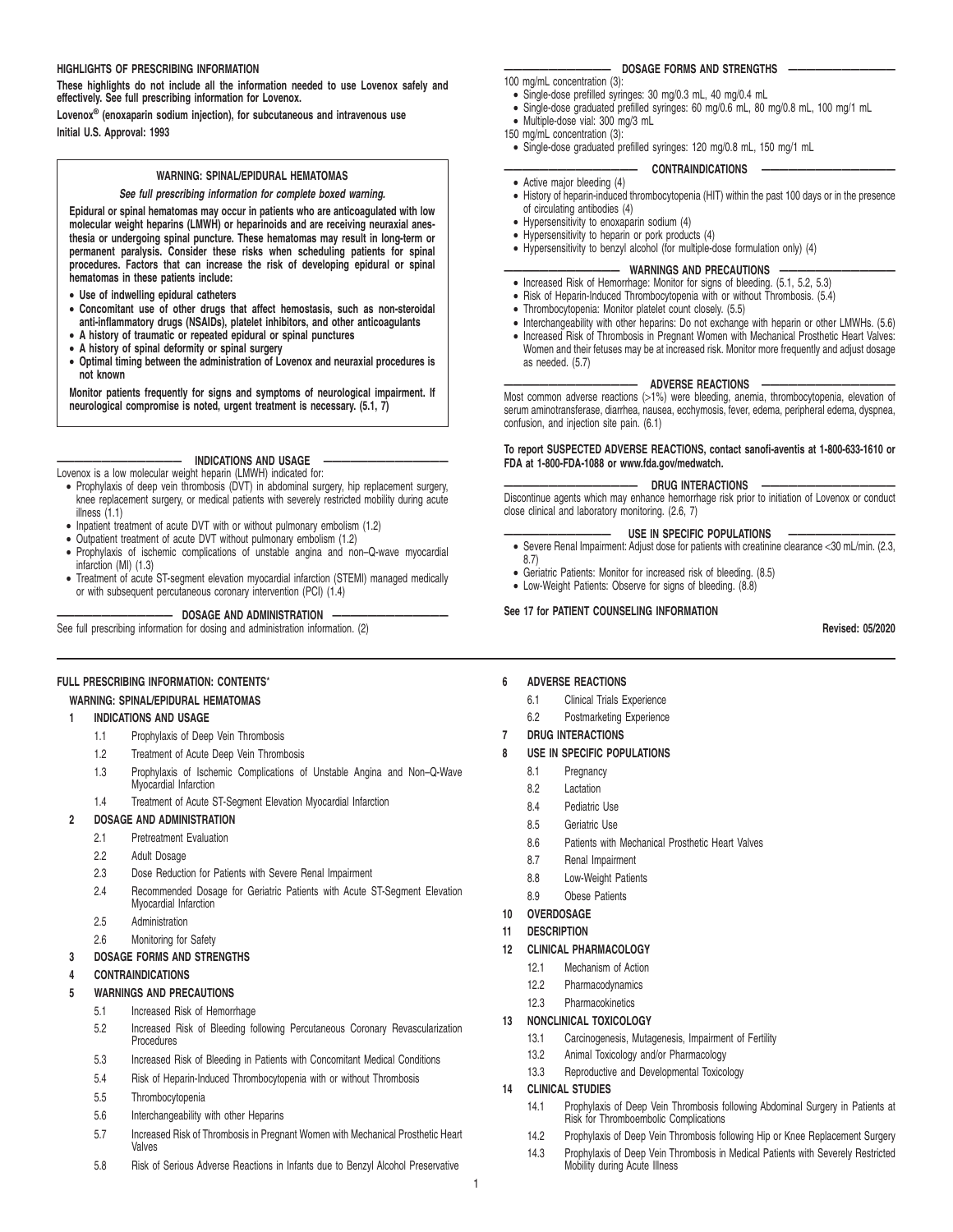## **HIGHLIGHTS OF PRESCRIBING INFORMATION**

**These highlights do not include all the information needed to use Lovenox safely and effectively. See full prescribing information for Lovenox.**

**Lovenox® (enoxaparin sodium injection), for subcutaneous and intravenous use Initial U.S. Approval: 1993**

## **WARNING: SPINAL/EPIDURAL HEMATOMAS**

**See full prescribing information for complete boxed warning.**

**Epidural or spinal hematomas may occur in patients who are anticoagulated with low molecular weight heparins (LMWH) or heparinoids and are receiving neuraxial anesthesia or undergoing spinal puncture. These hematomas may result in long-term or permanent paralysis. Consider these risks when scheduling patients for spinal procedures. Factors that can increase the risk of developing epidural or spinal hematomas in these patients include:**

- **Use of indwelling epidural catheters**
- **Concomitant use of other drugs that affect hemostasis, such as non-steroidal anti-inflammatory drugs (NSAIDs), platelet inhibitors, and other anticoagulants**
- **A history of traumatic or repeated epidural or spinal punctures**
- **A history of spinal deformity or spinal surgery**
- **Optimal timing between the administration of Lovenox and neuraxial procedures is not known**

**Monitor patients frequently for signs and symptoms of neurological impairment. If neurological compromise is noted, urgent treatment is necessary. (5.1, 7)**

#### **INDICATIONS AND USAGE**

Lovenox is a low molecular weight heparin (LMWH) indicated for:

- Prophylaxis of deep vein thrombosis (DVT) in abdominal surgery, hip replacement surgery, knee replacement surgery, or medical patients with severely restricted mobility during acute illness (1.1)
- Inpatient treatment of acute DVT with or without pulmonary embolism (1.2)
- Outpatient treatment of acute DVT without pulmonary embolism (1.2)
- Prophylaxis of ischemic complications of unstable angina and non–Q-wave myocardial infarction (MI) (1.3)
- Treatment of acute ST-segment elevation myocardial infarction (STEMI) managed medically or with subsequent percutaneous coronary intervention (PCI) (1.4)

### **————————————— DOSAGE AND ADMINISTRATION —————————————**

See full prescribing information for dosing and administration information. (2)

## **FULL PRESCRIBING INFORMATION: CONTENTS**\*

## **WARNING: SPINAL/EPIDURAL HEMATOMAS**

### **1 INDICATIONS AND USAGE**

- 1.1 Prophylaxis of Deep Vein Thrombosis
- 1.2 Treatment of Acute Deep Vein Thrombosis
- 1.3 Prophylaxis of Ischemic Complications of Unstable Angina and Non–Q-Wave Myocardial Infarction
- 1.4 Treatment of Acute ST-Segment Elevation Myocardial Infarction

## **2 DOSAGE AND ADMINISTRATION**

- 2.1 Pretreatment Evaluation
- 2.2 Adult Dosage
- 2.3 Dose Reduction for Patients with Severe Renal Impairment
- 2.4 Recommended Dosage for Geriatric Patients with Acute ST-Segment Elevation Myocardial Infarction
- 2.5 Administration
- 2.6 Monitoring for Safety

## **3 DOSAGE FORMS AND STRENGTHS**

### **4 CONTRAINDICATIONS**

#### **5 WARNINGS AND PRECAUTIONS**

- 5.1 Increased Risk of Hemorrhage
- 5.2 Increased Risk of Bleeding following Percutaneous Coronary Revascularization **Procedures**
- 5.3 Increased Risk of Bleeding in Patients with Concomitant Medical Conditions
- 5.4 Risk of Heparin-Induced Thrombocytopenia with or without Thrombosis
- 5.5 Thrombocytopenia
- 5.6 Interchangeability with other Heparins
- 5.7 Increased Risk of Thrombosis in Pregnant Women with Mechanical Prosthetic Heart Valves
- 5.8 Risk of Serious Adverse Reactions in Infants due to Benzyl Alcohol Preservative

## DOSAGE FORMS AND STRENGTHS

- 100 mg/mL concentration (3): • Single-dose prefilled syringes: 30 mg/0.3 mL, 40 mg/0.4 mL
- Single-dose graduated prefilled syringes: 60 mg/0.6 mL, 80 mg/0.8 mL, 100 mg/1 mL
- Multiple-dose vial: 300 mg/3 mL
- 150 mg/mL concentration (3):
- Single-dose graduated prefilled syringes: 120 mg/0.8 mL, 150 mg/1 mL

## CONTRAINDICATIONS

- Active major bleeding (4)
- History of heparin-induced thrombocytopenia (HIT) within the past 100 days or in the presence of circulating antibodies (4)
- Hypersensitivity to enoxaparin sodium (4)
- Hypersensitivity to heparin or pork products (4)
- Hypersensitivity to benzyl alcohol (for multiple-dose formulation only) (4)

#### **WARNINGS AND PRECAUTIONS**

- Increased Risk of Hemorrhage: Monitor for signs of bleeding. (5.1, 5.2, 5.3)
- Risk of Heparin-Induced Thrombocytopenia with or without Thrombosis. (5.4)
- Thrombocytopenia: Monitor platelet count closely. (5.5)
- Interchangeability with other heparins: Do not exchange with heparin or other LMWHs. (5.6)
- Increased Risk of Thrombosis in Pregnant Women with Mechanical Prosthetic Heart Valves: Women and their fetuses may be at increased risk. Monitor more frequently and adjust dosage as needed. (5.7)

## $-$  ADVERSE REACTIONS

Most common adverse reactions (>1%) were bleeding, anemia, thrombocytopenia, elevation of serum aminotransferase, diarrhea, nausea, ecchymosis, fever, edema, peripheral edema, dyspnea, confusion, and injection site pain. (6.1)

### **To report SUSPECTED ADVERSE REACTIONS, contact sanofi-aventis at 1-800-633-1610 or FDA at 1-800-FDA-1088 or www.fda.gov/medwatch.**

#### **——————————————— DRUG INTERACTIONS ———————————————**

Discontinue agents which may enhance hemorrhage risk prior to initiation of Lovenox or conduct close clinical and laboratory monitoring. (2.6, 7)

## USE IN SPECIFIC POPULATIONS

- Severe Renal Impairment: Adjust dose for patients with creatinine clearance <30 mL/min. (2.3, 8.7)
- Geriatric Patients: Monitor for increased risk of bleeding. (8.5)
- Low-Weight Patients: Observe for signs of bleeding. (8.8)

## **See 17 for PATIENT COUNSELING INFORMATION**

**Revised: 05/2020**

## **6 ADVERSE REACTIONS**

- 6.1 Clinical Trials Experience
- 6.2 Postmarketing Experience

#### **7 DRUG INTERACTIONS**

#### **8 USE IN SPECIFIC POPULATIONS**

- 8.1 Pregnancy
- 8.2 Lactation
- 8.4 Pediatric Use
- 8.5 Geriatric Use
- 8.6 Patients with Mechanical Prosthetic Heart Valves
- 8.7 Renal Impairment
- 8.8 Low-Weight Patients
- 8.9 Obese Patients
- **10 OVERDOSAGE**
- **11 DESCRIPTION**

## **12 CLINICAL PHARMACOLOGY**

- 12.1 Mechanism of Action
- 12.2 Pharmacodynamics
- 12.3 Pharmacokinetics
- **13 NONCLINICAL TOXICOLOGY**
	- 13.1 Carcinogenesis, Mutagenesis, Impairment of Fertility
	- 13.2 Animal Toxicology and/or Pharmacology

Mobility during Acute Illness

13.3 Reproductive and Developmental Toxicology

### **14 CLINICAL STUDIES**

1

14.1 Prophylaxis of Deep Vein Thrombosis following Abdominal Surgery in Patients at Risk for Thromboembolic Complications 14.2 Prophylaxis of Deep Vein Thrombosis following Hip or Knee Replacement Surgery

14.3 Prophylaxis of Deep Vein Thrombosis in Medical Patients with Severely Restricted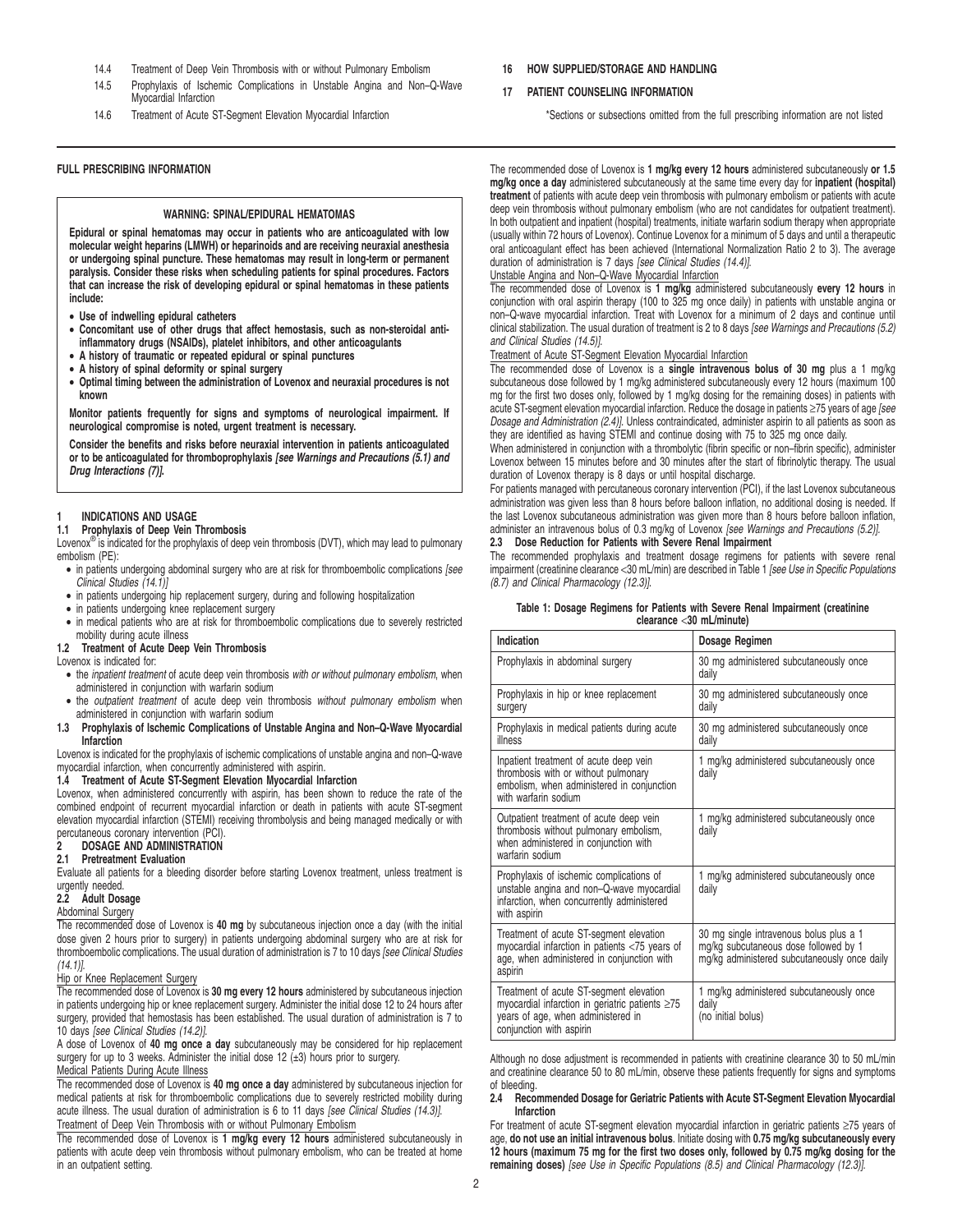- 14.4 Treatment of Deep Vein Thrombosis with or without Pulmonary Embolism
- 14.5 Prophylaxis of Ischemic Complications in Unstable Angina and Non–Q-Wave Myocardial Infarction
- 14.6 Treatment of Acute ST-Segment Elevation Myocardial Infarction

## **FULL PRESCRIBING INFORMATION**

## **WARNING: SPINAL/EPIDURAL HEMATOMAS**

**Epidural or spinal hematomas may occur in patients who are anticoagulated with low molecular weight heparins (LMWH) or heparinoids and are receiving neuraxial anesthesia or undergoing spinal puncture. These hematomas may result in long-term or permanent paralysis. Consider these risks when scheduling patients for spinal procedures. Factors that can increase the risk of developing epidural or spinal hematomas in these patients include:**

- **Use of indwelling epidural catheters**
- **Concomitant use of other drugs that affect hemostasis, such as non-steroidal antiinflammatory drugs (NSAIDs), platelet inhibitors, and other anticoagulants**
- **A history of traumatic or repeated epidural or spinal punctures**
- **A history of spinal deformity or spinal surgery**
- **Optimal timing between the administration of Lovenox and neuraxial procedures is not known**

**Monitor patients frequently for signs and symptoms of neurological impairment. If neurological compromise is noted, urgent treatment is necessary.**

**Consider the benefits and risks before neuraxial intervention in patients anticoagulated or to be anticoagulated for thromboprophylaxis [see Warnings and Precautions (5.1) and Drug Interactions (7)].**

## **1 INDICATIONS AND USAGE**

### **1.1 Prophylaxis of Deep Vein Thrombosis**

Lovenox® is indicated for the prophylaxis of deep vein thrombosis (DVT), which may lead to pulmonary embolism (PE):

- in patients undergoing abdominal surgery who are at risk for thromboembolic complications [see Clinical Studies (14.1)]
- in patients undergoing hip replacement surgery, during and following hospitalization
- in patients undergoing knee replacement surgery
- in medical patients who are at risk for thromboembolic complications due to severely restricted mobility during acute illness

## **1.2 Treatment of Acute Deep Vein Thrombosis**

Lovenox is indicated for:

- the inpatient treatment of acute deep vein thrombosis with or without pulmonary embolism, when administered in conjunction with warfarin sodium
- the outpatient treatment of acute deep vein thrombosis without pulmonary embolism when administered in conjunction with warfarin sodium
- **1.3 Prophylaxis of Ischemic Complications of Unstable Angina and Non–Q-Wave Myocardial Infarction**

Lovenox is indicated for the prophylaxis of ischemic complications of unstable angina and non–Q-wave myocardial infarction, when concurrently administered with aspirin.

### **1.4 Treatment of Acute ST-Segment Elevation Myocardial Infarction**

Lovenox, when administered concurrently with aspirin, has been shown to reduce the rate of the combined endpoint of recurrent myocardial infarction or death in patients with acute ST-segment elevation myocardial infarction (STEMI) receiving thrombolysis and being managed medically or with percutaneous coronary intervention (PCI).

## **2 DOSAGE AND ADMINISTRATION**

### **2.1 Pretreatment Evaluation**

Evaluate all patients for a bleeding disorder before starting Lovenox treatment, unless treatment is urgently needed.

## **2.2 Adult Dosage**

## Abdominal Surgery

The recommended dose of Lovenox is **40 mg** by subcutaneous injection once a day (with the initial dose given 2 hours prior to surgery) in patients undergoing abdominal surgery who are at risk for thromboembolic complications. The usual duration of administration is 7 to 10 days [see Clinical Studies (14.1)].

## Hip or Knee Replacement Surgery

The recommended dose of Lovenox is **30 mg every 12 hours** administered by subcutaneous injection in patients undergoing hip or knee replacement surgery. Administer the initial dose 12 to 24 hours after surgery, provided that hemostasis has been established. The usual duration of administration is 7 to 10 days [see Clinical Studies (14.2)].

A dose of Lovenox of **40 mg once a day** subcutaneously may be considered for hip replacement surgery for up to 3 weeks. Administer the initial dose 12  $(\pm 3)$  hours prior to surgery.

## Medical Patients During Acute Illness

The recommended dose of Lovenox is **40 mg once a day** administered by subcutaneous injection for medical patients at risk for thromboembolic complications due to severely restricted mobility during acute illness. The usual duration of administration is 6 to 11 days [see Clinical Studies (14.3)]. Treatment of Deep Vein Thrombosis with or without Pulmonary Embolism

The recommended dose of Lovenox is **1 mg/kg every 12 hours** administered subcutaneously in patients with acute deep vein thrombosis without pulmonary embolism, who can be treated at home in an outpatient setting.

**16 HOW SUPPLIED/STORAGE AND HANDLING**

## **17 PATIENT COUNSELING INFORMATION**

\*Sections or subsections omitted from the full prescribing information are not listed

The recommended dose of Lovenox is **1 mg/kg every 12 hours** administered subcutaneously **or 1.5 mg/kg once a day** administered subcutaneously at the same time every day for **inpatient (hospital) treatment** of patients with acute deep vein thrombosis with pulmonary embolism or patients with acute deep vein thrombosis without pulmonary embolism (who are not candidates for outpatient treatment). In both outpatient and inpatient (hospital) treatments, initiate warfarin sodium therapy when appropriate (usually within 72 hours of Lovenox). Continue Lovenox for a minimum of 5 days and until a therapeutic oral anticoagulant effect has been achieved (International Normalization Ratio 2 to 3). The average duration of administration is 7 days [see Clinical Studies (14.4)].

## Unstable Angina and Non–Q-Wave Myocardial Infarction

The recommended dose of Lovenox is **1 mg/kg** administered subcutaneously **every 12 hours** in conjunction with oral aspirin therapy (100 to 325 mg once daily) in patients with unstable angina or non–Q-wave myocardial infarction. Treat with Lovenox for a minimum of 2 days and continue until clinical stabilization. The usual duration of treatment is 2 to 8 days [see Warnings and Precautions (5.2) and Clinical Studies (14.5)].

## Treatment of Acute ST-Segment Elevation Myocardial Infarction

The recommended dose of Lovenox is a **single intravenous bolus of 30 mg** plus a 1 mg/kg subcutaneous dose followed by 1 mg/kg administered subcutaneously every 12 hours (maximum 100 mg for the first two doses only, followed by 1 mg/kg dosing for the remaining doses) in patients with acute ST-segment elevation myocardial infarction. Reduce the dosage in patients ≥75 years of age [see Dosage and Administration (2.4)]. Unless contraindicated, administer aspirin to all patients as soon as they are identified as having STEMI and continue dosing with 75 to 325 mg once daily.

When administered in conjunction with a thrombolytic (fibrin specific or non–fibrin specific), administer Lovenox between 15 minutes before and 30 minutes after the start of fibrinolytic therapy. The usual duration of Lovenox therapy is 8 days or until hospital discharge.

For patients managed with percutaneous coronary intervention (PCI), if the last Lovenox subcutaneous administration was given less than 8 hours before balloon inflation, no additional dosing is needed. If the last Lovenox subcutaneous administration was given more than 8 hours before balloon inflation, administer an intravenous bolus of 0.3 mg/kg of Lovenox [see Warnings and Precautions (5.2)].

## **2.3 Dose Reduction for Patients with Severe Renal Impairment**

The recommended prophylaxis and treatment dosage regimens for patients with severe renal impairment (creatinine clearance <30 mL/min) are described in Table 1 [see Use in Specific Populations (8.7) and Clinical Pharmacology (12.3)].

| Table 1: Dosage Regimens for Patients with Severe Renal Impairment (creatinine |                           |  |
|--------------------------------------------------------------------------------|---------------------------|--|
|                                                                                | cleanance < 30 mL/minute) |  |

| Indication                                                                                                                                                   | Dosage Regimen                                                                                                                   |
|--------------------------------------------------------------------------------------------------------------------------------------------------------------|----------------------------------------------------------------------------------------------------------------------------------|
| Prophylaxis in abdominal surgery                                                                                                                             | 30 mg administered subcutaneously once<br>daily                                                                                  |
| Prophylaxis in hip or knee replacement<br>surgery                                                                                                            | 30 mg administered subcutaneously once<br>daily                                                                                  |
| Prophylaxis in medical patients during acute<br>illness                                                                                                      | 30 mg administered subcutaneously once<br>daily                                                                                  |
| Inpatient treatment of acute deep vein<br>thrombosis with or without pulmonary<br>embolism, when administered in conjunction<br>with warfarin sodium         | 1 mg/kg administered subcutaneously once<br>daily                                                                                |
| Outpatient treatment of acute deep vein<br>thrombosis without pulmonary embolism,<br>when administered in conjunction with<br>warfarin sodium                | 1 mg/kg administered subcutaneously once<br>daily                                                                                |
| Prophylaxis of ischemic complications of<br>unstable angina and non-Q-wave myocardial<br>infarction, when concurrently administered<br>with aspirin          | 1 mg/kg administered subcutaneously once<br>daily                                                                                |
| Treatment of acute ST-segment elevation<br>myocardial infarction in patients <75 years of<br>age, when administered in conjunction with<br>aspirin           | 30 mg single intravenous bolus plus a 1<br>mg/kg subcutaneous dose followed by 1<br>mg/kg administered subcutaneously once daily |
| Treatment of acute ST-segment elevation<br>myocardial infarction in geriatric patients ≥75<br>years of age, when administered in<br>conjunction with aspirin | 1 mg/kg administered subcutaneously once<br>daily<br>(no initial bolus)                                                          |

Although no dose adjustment is recommended in patients with creatinine clearance 30 to 50 mL/min and creatinine clearance 50 to 80 mL/min, observe these patients frequently for signs and symptoms of bleeding.

### **2.4 Recommended Dosage for Geriatric Patients with Acute ST-Segment Elevation Myocardial Infarction**

For treatment of acute ST-segment elevation myocardial infarction in geriatric patients ≥75 years of age, **do not use an initial intravenous bolus**. Initiate dosing with **0.75 mg/kg subcutaneously every 12 hours (maximum 75 mg for the first two doses only, followed by 0.75 mg/kg dosing for the remaining doses)** [see Use in Specific Populations (8.5) and Clinical Pharmacology (12.3)].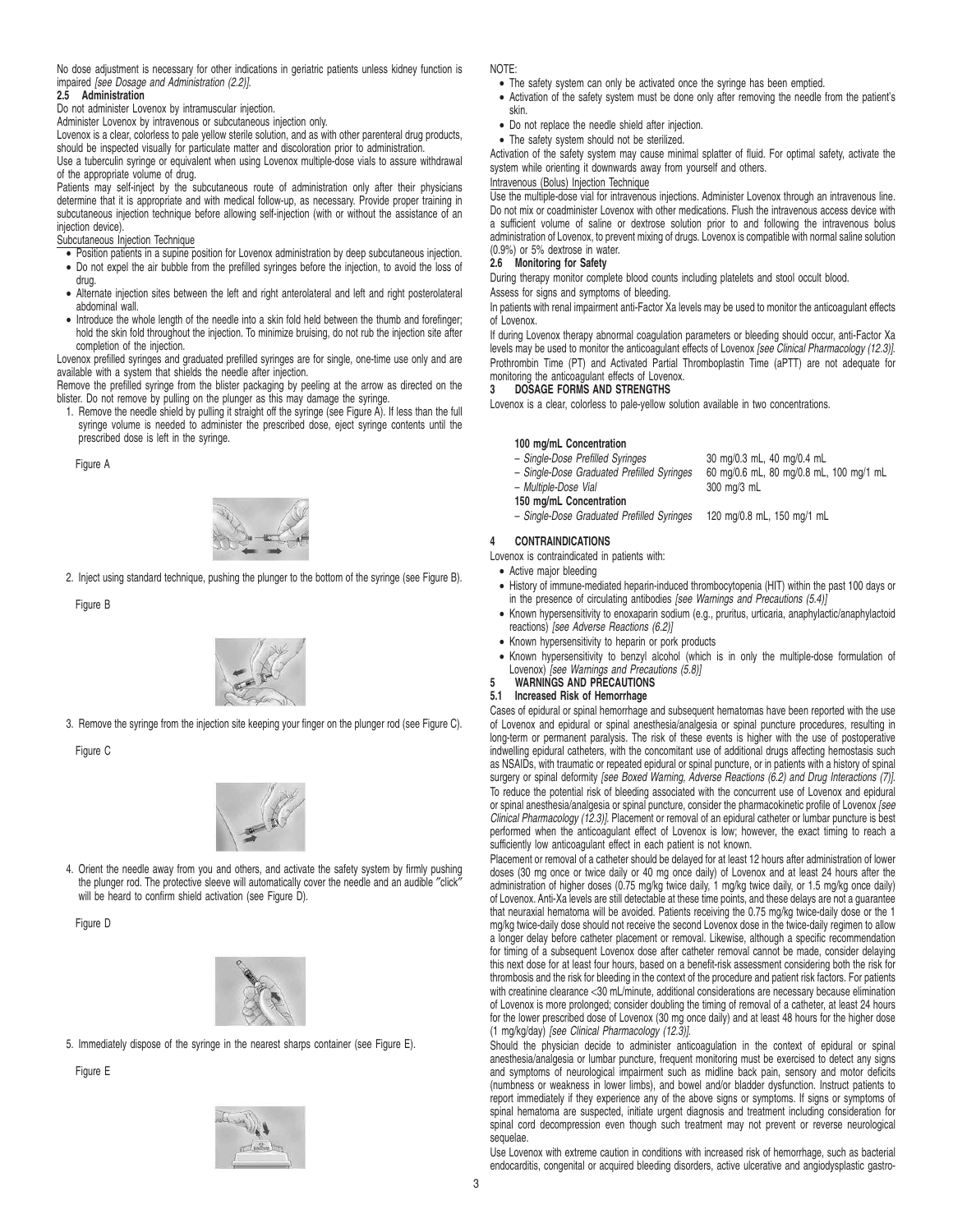No dose adjustment is necessary for other indications in geriatric patients unless kidney function is impaired [see Dosage and Administration (2.2)].

## **2.5 Administration**

Do not administer Lovenox by intramuscular injection.

Administer Lovenox by intravenous or subcutaneous injection only.

Lovenox is a clear, colorless to pale yellow sterile solution, and as with other parenteral drug products, should be inspected visually for particulate matter and discoloration prior to administration.

Use a tuberculin syringe or equivalent when using Lovenox multiple-dose vials to assure withdrawal of the appropriate volume of drug.

Patients may self-inject by the subcutaneous route of administration only after their physicians determine that it is appropriate and with medical follow-up, as necessary. Provide proper training in subcutaneous injection technique before allowing self-injection (with or without the assistance of an injection device).

#### Subcutaneous Injection Technique

- Position patients in a supine position for Lovenox administration by deep subcutaneous injection. • Do not expel the air bubble from the prefilled syringes before the injection, to avoid the loss of
- drug.
- Alternate injection sites between the left and right anterolateral and left and right posterolateral abdominal wall.
- Introduce the whole length of the needle into a skin fold held between the thumb and forefinger; hold the skin fold throughout the injection. To minimize bruising, do not rub the injection site after completion of the injection.

Lovenox prefilled syringes and graduated prefilled syringes are for single, one-time use only and are available with a system that shields the needle after injection.

Remove the prefilled syringe from the blister packaging by peeling at the arrow as directed on the blister. Do not remove by pulling on the plunger as this may damage the syringe.

1. Remove the needle shield by pulling it straight off the syringe (see Figure A). If less than the full syringe volume is needed to administer the prescribed dose, eject syringe contents until the prescribed dose is left in the syringe.

Figure A



2. Inject using standard technique, pushing the plunger to the bottom of the syringe (see Figure B).

Figure B



3. Remove the syringe from the injection site keeping your finger on the plunger rod (see Figure C).

Figure C



4. Orient the needle away from you and others, and activate the safety system by firmly pushing the plunger rod. The protective sleeve will automatically cover the needle and an audible "click" will be heard to confirm shield activation (see Figure D).

Figure D



5. Immediately dispose of the syringe in the nearest sharps container (see Figure E).

Figure E



NOTE:

- The safety system can only be activated once the syringe has been emptied.
- Activation of the safety system must be done only after removing the needle from the patient's skin.
- Do not replace the needle shield after injection.
- The safety system should not be sterilized.

Activation of the safety system may cause minimal splatter of fluid. For optimal safety, activate the system while orienting it downwards away from yourself and others.

## Intravenous (Bolus) Injection Technique

Use the multiple-dose vial for intravenous injections. Administer Lovenox through an intravenous line. Do not mix or coadminister Lovenox with other medications. Flush the intravenous access device with a sufficient volume of saline or dextrose solution prior to and following the intravenous bolus administration of Lovenox, to prevent mixing of drugs. Lovenox is compatible with normal saline solution (0.9%) or 5% dextrose in water.

## **2.6 Monitoring for Safety**

During therapy monitor complete blood counts including platelets and stool occult blood. Assess for signs and symptoms of bleeding.

In patients with renal impairment anti-Factor Xa levels may be used to monitor the anticoagulant effects of Lovenox.

If during Lovenox therapy abnormal coagulation parameters or bleeding should occur, anti-Factor Xa levels may be used to monitor the anticoagulant effects of Lovenox [see Clinical Pharmacology (12.3)]. Prothrombin Time (PT) and Activated Partial Thromboplastin Time (aPTT) are not adequate for monitoring the anticoagulant effects of Lovenox.

## **3 DOSAGE FORMS AND STRENGTHS**

Lovenox is a clear, colorless to pale-yellow solution available in two concentrations.

## **100 mg/mL Concentration**

- Single-Dose Prefilled Syringes 30 mg/0.3 mL, 40 mg/0.4 mL
- 
- Single-Dose Graduated Prefilled Syringes 60 mg/0.6 mL, 80 mg/0.8 mL, 100 mg/1 mL – Multiple-Dose Vial 300 mg/3 mL
- **150 mg/mL Concentration**
- Single-Dose Graduated Prefilled Syringes 120 mg/0.8 mL, 150 mg/1 mL

### **4 CONTRAINDICATIONS**

- Lovenox is contraindicated in patients with:
- Active major bleeding
- History of immune-mediated heparin-induced thrombocytopenia (HIT) within the past 100 days or in the presence of circulating antibodies [see Warnings and Precautions (5.4)]
- Known hypersensitivity to enoxaparin sodium (e.g., pruritus, urticaria, anaphylactic/anaphylactoid reactions) [see Adverse Reactions (6.2)]
- Known hypersensitivity to heparin or pork products
- Known hypersensitivity to benzyl alcohol (which is in only the multiple-dose formulation of Lovenox) [see Warnings and Precautions (5.8)]

# **5 WARNINGS AND PRECAUTIONS**

## **5.1 Increased Risk of Hemorrhage**

Cases of epidural or spinal hemorrhage and subsequent hematomas have been reported with the use of Lovenox and epidural or spinal anesthesia/analgesia or spinal puncture procedures, resulting in long-term or permanent paralysis. The risk of these events is higher with the use of postoperative indwelling epidural catheters, with the concomitant use of additional drugs affecting hemostasis such as NSAIDs, with traumatic or repeated epidural or spinal puncture, or in patients with a history of spinal surgery or spinal deformity [see Boxed Warning, Adverse Reactions (6.2) and Drug Interactions (7)]. To reduce the potential risk of bleeding associated with the concurrent use of Lovenox and epidural or spinal anesthesia/analgesia or spinal puncture, consider the pharmacokinetic profile of Lovenox [see Clinical Pharmacology (12.3)]. Placement or removal of an epidural catheter or lumbar puncture is best performed when the anticoagulant effect of Lovenox is low; however, the exact timing to reach a sufficiently low anticoagulant effect in each patient is not known.

Placement or removal of a catheter should be delayed for at least 12 hours after administration of lower doses (30 mg once or twice daily or 40 mg once daily) of Lovenox and at least 24 hours after the administration of higher doses (0.75 mg/kg twice daily, 1 mg/kg twice daily, or 1.5 mg/kg once daily) of Lovenox. Anti-Xa levels are still detectable at these time points, and these delays are not a guarantee that neuraxial hematoma will be avoided. Patients receiving the 0.75 mg/kg twice-daily dose or the 1 mg/kg twice-daily dose should not receive the second Lovenox dose in the twice-daily regimen to allow a longer delay before catheter placement or removal. Likewise, although a specific recommendation for timing of a subsequent Lovenox dose after catheter removal cannot be made, consider delaying this next dose for at least four hours, based on a benefit-risk assessment considering both the risk for thrombosis and the risk for bleeding in the context of the procedure and patient risk factors. For patients with creatinine clearance <30 mL/minute, additional considerations are necessary because elimination of Lovenox is more prolonged; consider doubling the timing of removal of a catheter, at least 24 hours for the lower prescribed dose of Lovenox (30 mg once daily) and at least 48 hours for the higher dose (1 mg/kg/day) [see Clinical Pharmacology (12.3)].

Should the physician decide to administer anticoagulation in the context of epidural or spinal anesthesia/analgesia or lumbar puncture, frequent monitoring must be exercised to detect any signs and symptoms of neurological impairment such as midline back pain, sensory and motor deficits (numbness or weakness in lower limbs), and bowel and/or bladder dysfunction. Instruct patients to report immediately if they experience any of the above signs or symptoms. If signs or symptoms of spinal hematoma are suspected, initiate urgent diagnosis and treatment including consideration for spinal cord decompression even though such treatment may not prevent or reverse neurological sequelae.

Use Lovenox with extreme caution in conditions with increased risk of hemorrhage, such as bacterial endocarditis, congenital or acquired bleeding disorders, active ulcerative and angiodysplastic gastro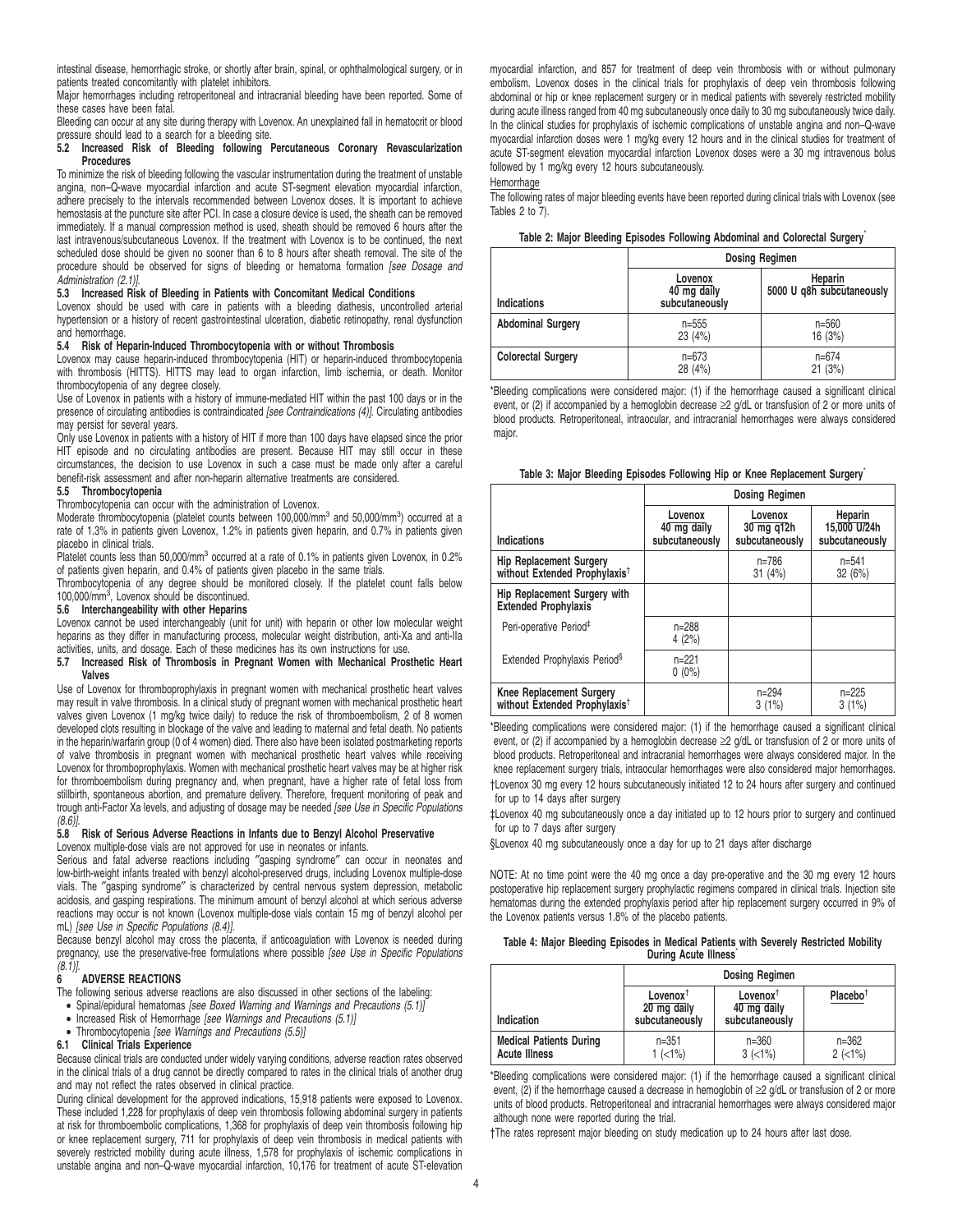intestinal disease, hemorrhagic stroke, or shortly after brain, spinal, or ophthalmological surgery, or in patients treated concomitantly with platelet inhibitors.

Major hemorrhages including retroperitoneal and intracranial bleeding have been reported. Some of these cases have been fatal.

Bleeding can occur at any site during therapy with Lovenox. An unexplained fall in hematocrit or blood

### pressure should lead to a search for a bleeding site.<br>5.2 Increased Risk of Bleeding following **5.2 Increased Risk of Bleeding following Percutaneous Coronary Revascularization Procedures**

To minimize the risk of bleeding following the vascular instrumentation during the treatment of unstable angina, non–Q-wave myocardial infarction and acute ST-segment elevation myocardial infarction, adhere precisely to the intervals recommended between Lovenox doses. It is important to achieve hemostasis at the puncture site after PCI. In case a closure device is used, the sheath can be removed immediately. If a manual compression method is used, sheath should be removed 6 hours after the last intravenous/subcutaneous Lovenox. If the treatment with Lovenox is to be continued, the next scheduled dose should be given no sooner than 6 to 8 hours after sheath removal. The site of the procedure should be observed for signs of bleeding or hematoma formation [see Dosage and Administration (2.1)].

## **5.3 Increased Risk of Bleeding in Patients with Concomitant Medical Conditions**

Lovenox should be used with care in patients with a bleeding diathesis, uncontrolled arterial hypertension or a history of recent gastrointestinal ulceration, diabetic retinopathy, renal dysfunction and hemorrhage.

### **5.4 Risk of Heparin-Induced Thrombocytopenia with or without Thrombosis**

Lovenox may cause heparin-induced thrombocytopenia (HIT) or heparin-induced thrombocytopenia with thrombosis (HITTS). HITTS may lead to organ infarction, limb ischemia, or death. Monitor thrombocytopenia of any degree closely.

Use of Lovenox in patients with a history of immune-mediated HIT within the past 100 days or in the presence of circulating antibodies is contraindicated [see Contraindications (4)]. Circulating antibodies may persist for several years.

Only use Lovenox in patients with a history of HIT if more than 100 days have elapsed since the prior HIT episode and no circulating antibodies are present. Because HIT may still occur in these circumstances, the decision to use Lovenox in such a case must be made only after a careful benefit-risk assessment and after non-heparin alternative treatments are considered.

## **5.5 Thrombocytopenia**

Thrombocytopenia can occur with the administration of Lovenox.

Moderate thrombocytopenia (platelet counts between 100,000/mm<sup>3</sup> and 50,000/mm<sup>3</sup>) occurred at a rate of 1.3% in patients given Lovenox, 1.2% in patients given heparin, and 0.7% in patients given placebo in clinical trials.

Platelet counts less than 50,000/mm<sup>3</sup> occurred at a rate of 0.1% in patients given Lovenox, in 0.2% of patients given heparin, and 0.4% of patients given placebo in the same trials.

Thrombocytopenia of any degree should be monitored closely. If the platelet count falls below 100,000/mm<sup>3</sup> , Lovenox should be discontinued.

## **5.6 Interchangeability with other Heparins**

Lovenox cannot be used interchangeably (unit for unit) with heparin or other low molecular weight heparins as they differ in manufacturing process, molecular weight distribution, anti-Xa and anti-IIa activities, units, and dosage. Each of these medicines has its own instructions for use.

### **5.7 Increased Risk of Thrombosis in Pregnant Women with Mechanical Prosthetic Heart Valves**

Use of Lovenox for thromboprophylaxis in pregnant women with mechanical prosthetic heart valves may result in valve thrombosis. In a clinical study of pregnant women with mechanical prosthetic heart valves given Lovenox (1 mg/kg twice daily) to reduce the risk of thromboembolism, 2 of 8 women developed clots resulting in blockage of the valve and leading to maternal and fetal death. No patients in the heparin/warfarin group (0 of 4 women) died. There also have been isolated postmarketing reports of valve thrombosis in pregnant women with mechanical prosthetic heart valves while receiving Lovenox for thromboprophylaxis. Women with mechanical prosthetic heart valves may be at higher risk for thromboembolism during pregnancy and, when pregnant, have a higher rate of fetal loss from stillbirth, spontaneous abortion, and premature delivery. Therefore, frequent monitoring of peak and trough anti-Factor Xa levels, and adjusting of dosage may be needed [see Use in Specific Populations  $(8.6)$ ].

### **5.8 Risk of Serious Adverse Reactions in Infants due to Benzyl Alcohol Preservative** Lovenox multiple-dose vials are not approved for use in neonates or infants.

Serious and fatal adverse reactions including ″gasping syndrome″ can occur in neonates and low-birth-weight infants treated with benzyl alcohol-preserved drugs, including Lovenox multiple-dose vials. The ″gasping syndrome″ is characterized by central nervous system depression, metabolic acidosis, and gasping respirations. The minimum amount of benzyl alcohol at which serious adverse reactions may occur is not known (Lovenox multiple-dose vials contain 15 mg of benzyl alcohol per mL) [see Use in Specific Populations (8.4)].

Because benzyl alcohol may cross the placenta, if anticoagulation with Lovenox is needed during pregnancy, use the preservative-free formulations where possible [see Use in Specific Populations  $(8.1)$ ].

## **6 ADVERSE REACTIONS**

The following serious adverse reactions are also discussed in other sections of the labeling:

- Spinal/epidural hematomas [see Boxed Warning and Warnings and Precautions (5.1)]
- Increased Risk of Hemorrhage [see Warnings and Precautions (5.1)]
- Thrombocytopenia [see Warnings and Precautions (5.5)]

## **6.1 Clinical Trials Experience**

Because clinical trials are conducted under widely varying conditions, adverse reaction rates observed in the clinical trials of a drug cannot be directly compared to rates in the clinical trials of another drug and may not reflect the rates observed in clinical practice.

During clinical development for the approved indications, 15,918 patients were exposed to Lovenox. These included 1,228 for prophylaxis of deep vein thrombosis following abdominal surgery in patients at risk for thromboembolic complications, 1,368 for prophylaxis of deep vein thrombosis following hip or knee replacement surgery, 711 for prophylaxis of deep vein thrombosis in medical patients with severely restricted mobility during acute illness, 1,578 for prophylaxis of ischemic complications in unstable angina and non–Q-wave myocardial infarction, 10,176 for treatment of acute ST-elevation

myocardial infarction, and 857 for treatment of deep vein thrombosis with or without pulmonary embolism. Lovenox doses in the clinical trials for prophylaxis of deep vein thrombosis following abdominal or hip or knee replacement surgery or in medical patients with severely restricted mobility during acute illness ranged from 40 mg subcutaneously once daily to 30 mg subcutaneously twice daily. In the clinical studies for prophylaxis of ischemic complications of unstable angina and non–Q-wave myocardial infarction doses were 1 mg/kg every 12 hours and in the clinical studies for treatment of acute ST-segment elevation myocardial infarction Lovenox doses were a 30 mg intravenous bolus followed by 1 mg/kg every 12 hours subcutaneously.

## Hemorrhage

The following rates of major bleeding events have been reported during clinical trials with Lovenox (see Tables 2 to 7).

| Table 2: Major Bleeding Episodes Following Abdominal and Colorectal Surgery |  |  |
|-----------------------------------------------------------------------------|--|--|
|-----------------------------------------------------------------------------|--|--|

|                           | <b>Dosing Regimen</b>                    |                                      |  |  |  |
|---------------------------|------------------------------------------|--------------------------------------|--|--|--|
| Indications               | Lovenox<br>40 mg daily<br>subcutaneously | Heparin<br>5000 U g8h subcutaneously |  |  |  |
| <b>Abdominal Surgery</b>  | $n = 555$<br>23 (4%)                     | $n = 560$<br>16(3%)                  |  |  |  |
| <b>Colorectal Surgery</b> | $n = 673$<br>28 (4%)                     | $n=674$<br>21(3%)                    |  |  |  |

\*Bleeding complications were considered major: (1) if the hemorrhage caused a significant clinical event, or (2) if accompanied by a hemoglobin decrease ≥2 g/dL or transfusion of 2 or more units of blood products. Retroperitoneal, intraocular, and intracranial hemorrhages were always considered major.

|  |  |  | Table 3: Major Bleeding Episodes Following Hip or Knee Replacement Surgery |  |
|--|--|--|----------------------------------------------------------------------------|--|
|  |  |  |                                                                            |  |

|                                                                              | <b>Dosing Regimen</b>                    |                                         |                                           |  |  |
|------------------------------------------------------------------------------|------------------------------------------|-----------------------------------------|-------------------------------------------|--|--|
| Indications                                                                  | Lovenox<br>40 mg daily<br>subcutaneously | Lovenox<br>30 mg q12h<br>subcutaneously | Heparin<br>15,000 U/24h<br>subcutaneously |  |  |
| Hip Replacement Surgery<br>without Extended Prophylaxis <sup>†</sup>         |                                          | $n = 786$<br>31(4%)                     | $n = 541$<br>32(6%)                       |  |  |
| Hip Replacement Surgery with<br><b>Extended Prophylaxis</b>                  |                                          |                                         |                                           |  |  |
| Peri-operative Period <sup>#</sup>                                           | $n = 288$<br>4(2%)                       |                                         |                                           |  |  |
| Extended Prophylaxis Period <sup>§</sup>                                     | $n=221$<br>$0(0\%)$                      |                                         |                                           |  |  |
| <b>Knee Replacement Surgery</b><br>without Extended Prophylaxis <sup>†</sup> |                                          | $n = 294$<br>3(1%)                      | $n = 225$<br>3(1%)                        |  |  |

\*Bleeding complications were considered major: (1) if the hemorrhage caused a significant clinical event, or (2) if accompanied by a hemoglobin decrease ≥2 g/dL or transfusion of 2 or more units of blood products. Retroperitoneal and intracranial hemorrhages were always considered major. In the knee replacement surgery trials, intraocular hemorrhages were also considered major hemorrhages. †Lovenox 30 mg every 12 hours subcutaneously initiated 12 to 24 hours after surgery and continued for up to 14 days after surgery

‡Lovenox 40 mg subcutaneously once a day initiated up to 12 hours prior to surgery and continued for up to 7 days after surgery

§Lovenox 40 mg subcutaneously once a day for up to 21 days after discharge

NOTE: At no time point were the 40 mg once a day pre-operative and the 30 mg every 12 hours postoperative hip replacement surgery prophylactic regimens compared in clinical trials. Injection site hematomas during the extended prophylaxis period after hip replacement surgery occurred in 9% of the Lovenox patients versus 1.8% of the placebo patients.

| Table 4: Major Bleeding Episodes in Medical Patients with Severely Restricted Mobility |                      |  |  |
|----------------------------------------------------------------------------------------|----------------------|--|--|
|                                                                                        | During Acute Illness |  |  |

|                                                        |                                                         | <b>Dosing Regimen</b>                                 |                        |
|--------------------------------------------------------|---------------------------------------------------------|-------------------------------------------------------|------------------------|
| Indication                                             | Lovenox <sup>T</sup><br>$20$ mg daily<br>subcutaneously | Lovenox <sup>†</sup><br>40 mg daily<br>subcutaneously | Placebo <sup>†</sup>   |
| <b>Medical Patients During</b><br><b>Acute Illness</b> | $n = 351$<br>$1$ (<1%)                                  | $n = 360$<br>$3$ ( $<$ 1%)                            | $n = 362$<br>$2$ (<1%) |

\*Bleeding complications were considered major: (1) if the hemorrhage caused a significant clinical event, (2) if the hemorrhage caused a decrease in hemoglobin of ≥2 g/dL or transfusion of 2 or more units of blood products. Retroperitoneal and intracranial hemorrhages were always considered major although none were reported during the trial.

†The rates represent major bleeding on study medication up to 24 hours after last dose.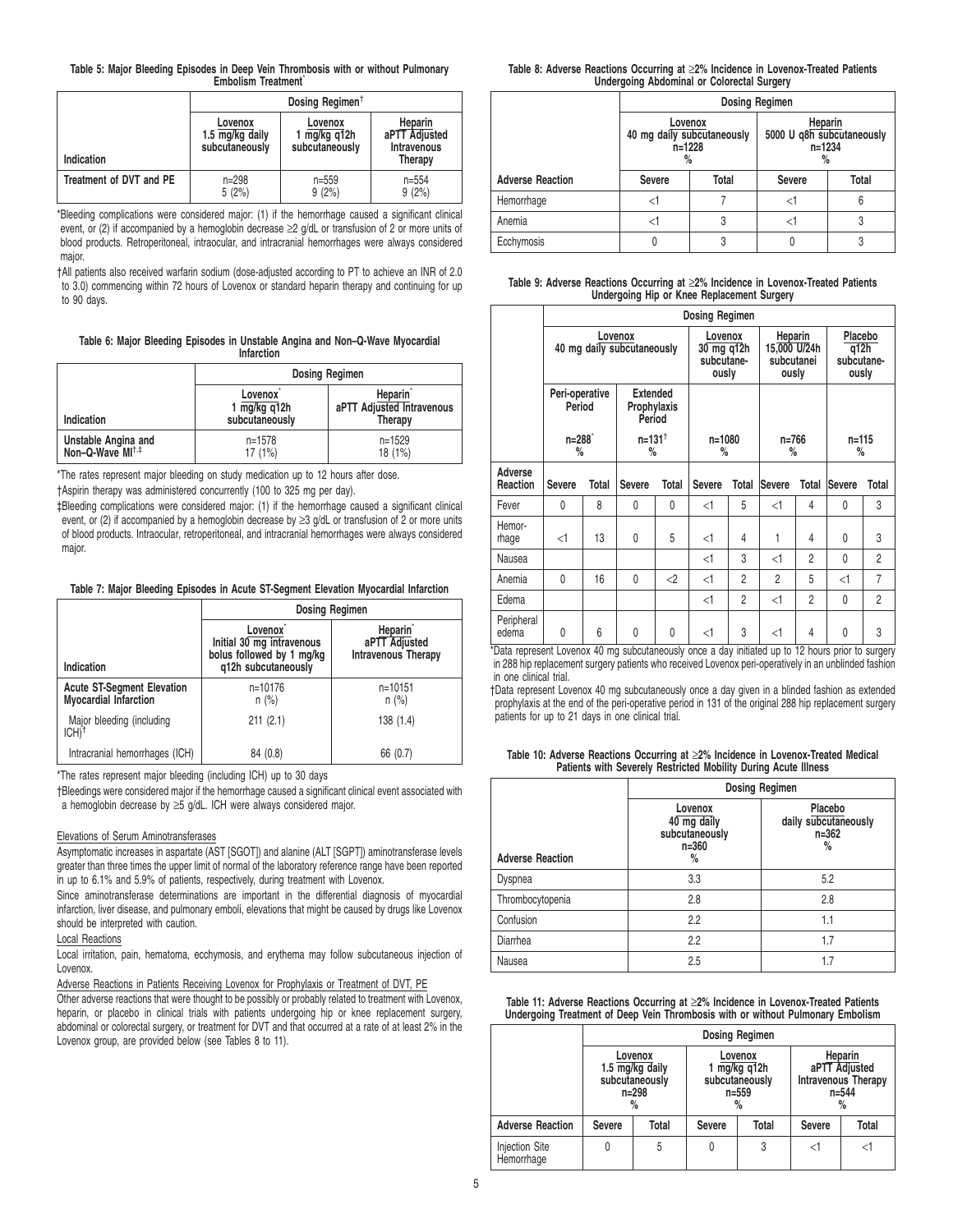| Table 5: Major Bleeding Episodes in Deep Vein Thrombosis with or without Pulmonary |  |                    |  |  |  |  |
|------------------------------------------------------------------------------------|--|--------------------|--|--|--|--|
|                                                                                    |  | Embolism Treatment |  |  |  |  |

|                         | Dosing Regimen <sup>+</sup>                  |                                             |                                                           |  |
|-------------------------|----------------------------------------------|---------------------------------------------|-----------------------------------------------------------|--|
| Indication              | Lovenox<br>1.5 mg/kg daily<br>subcutaneously | Lovenox<br>1 $mg/kg$ q12h<br>subcutaneously | Heparin<br>aPTT Adjusted<br><b>Intravenous</b><br>Therapy |  |
| Treatment of DVT and PE | $n = 298$<br>5(2%)                           | $n = 559$<br>9(2%)                          | $n = 554$<br>9(2%)                                        |  |

\*Bleeding complications were considered major: (1) if the hemorrhage caused a significant clinical event, or (2) if accompanied by a hemoglobin decrease ≥2 g/dL or transfusion of 2 or more units of blood products. Retroperitoneal, intraocular, and intracranial hemorrhages were always considered major.

†All patients also received warfarin sodium (dose-adjusted according to PT to achieve an INR of 2.0 to 3.0) commencing within 72 hours of Lovenox or standard heparin therapy and continuing for up to 90 days.

**Table 6: Major Bleeding Episodes in Unstable Angina and Non–Q-Wave Myocardial Infarction**

|                                                     | <b>Dosing Regimen</b>                       |                                                              |  |  |
|-----------------------------------------------------|---------------------------------------------|--------------------------------------------------------------|--|--|
| Indication                                          | Lovenox<br>1 $mg/kg$ q12h<br>subcutaneously | Heparin <sup>®</sup><br>aPTT Adjusted Intravenous<br>Therapy |  |  |
| Unstable Angina and<br>Non-Q-Wave MI <sup>+,‡</sup> | $n = 1578$<br>17(1%)                        | $n = 1529$<br>$18(1\%)$                                      |  |  |

\*The rates represent major bleeding on study medication up to 12 hours after dose. †Aspirin therapy was administered concurrently (100 to 325 mg per day).

‡Bleeding complications were considered major: (1) if the hemorrhage caused a significant clinical event, or (2) if accompanied by a hemoglobin decrease by ≥3 g/dL or transfusion of 2 or more units of blood products. Intraocular, retroperitoneal, and intracranial hemorrhages were always considered major.

## **Table 7: Major Bleeding Episodes in Acute ST-Segment Elevation Myocardial Infarction**

|                                                                   | <b>Dosing Regimen</b>                                                                    |                                                                     |  |  |  |
|-------------------------------------------------------------------|------------------------------------------------------------------------------------------|---------------------------------------------------------------------|--|--|--|
| Indication                                                        | Lovenox<br>Initial 30 mg intravenous<br>bolus followed by 1 mg/kg<br>q12h subcutaneously | Heparin <sup>'</sup><br>aPTT Adjusted<br><b>Intravenous Therapy</b> |  |  |  |
| <b>Acute ST-Segment Elevation</b><br><b>Myocardial Infarction</b> | n=10176<br>$n$ (%)                                                                       | $n=10151$<br>$n$ (%)                                                |  |  |  |
| Major bleeding (including<br>ICH)†                                | 211(2.1)                                                                                 | 138(1.4)                                                            |  |  |  |
| Intracranial hemorrhages (ICH)                                    | 84 (0.8)                                                                                 | 66 (0.7)                                                            |  |  |  |

\*The rates represent major bleeding (including ICH) up to 30 days

†Bleedings were considered major if the hemorrhage caused a significant clinical event associated with a hemoglobin decrease by  $\geq$ 5 g/dL. ICH were always considered major.

## Elevations of Serum Aminotransferases

Asymptomatic increases in aspartate (AST [SGOT]) and alanine (ALT [SGPT]) aminotransferase levels greater than three times the upper limit of normal of the laboratory reference range have been reported in up to 6.1% and 5.9% of patients, respectively, during treatment with Lovenox.

Since aminotransferase determinations are important in the differential diagnosis of myocardial infarction, liver disease, and pulmonary emboli, elevations that might be caused by drugs like Lovenox should be interpreted with caution.

## Local Reactions

Local irritation, pain, hematoma, ecchymosis, and erythema may follow subcutaneous injection of Lovenox.

Adverse Reactions in Patients Receiving Lovenox for Prophylaxis or Treatment of DVT, PE

Other adverse reactions that were thought to be possibly or probably related to treatment with Lovenox, heparin, or placebo in clinical trials with patients undergoing hip or knee replacement surgery, abdominal or colorectal surgery, or treatment for DVT and that occurred at a rate of at least 2% in the Lovenox group, are provided below (see Tables 8 to 11).

**Table 8: Adverse Reactions Occurring at** ≥**2% Incidence in Lovenox-Treated Patients Undergoing Abdominal or Colorectal Surgery**

|                         | <b>Dosing Regimen</b>                                    |   |                                                         |       |  |  |  |
|-------------------------|----------------------------------------------------------|---|---------------------------------------------------------|-------|--|--|--|
|                         | Lovenox<br>40 mg daily subcutaneously<br>$n = 1228$<br>% |   | Heparin<br>5000 U q8h subcutaneously<br>$n = 1234$<br>% |       |  |  |  |
| <b>Adverse Reaction</b> | Total<br><b>Severe</b>                                   |   | <b>Severe</b>                                           | Total |  |  |  |
| Hemorrhage              | <1                                                       |   | <1                                                      | 6     |  |  |  |
| Anemia                  | <1                                                       | 3 | <1                                                      | 3     |  |  |  |
| Ecchymosis              | 0                                                        | 3 |                                                         | 3     |  |  |  |

## **Table 9: Adverse Reactions Occurring at** ≥**2% Incidence in Lovenox-Treated Patients Undergoing Hip or Knee Replacement Surgery**

|                     | <b>Dosing Regimen</b>                 |       |                                          |                    |                                              |                 |                                                |                |                                        |                |  |
|---------------------|---------------------------------------|-------|------------------------------------------|--------------------|----------------------------------------------|-----------------|------------------------------------------------|----------------|----------------------------------------|----------------|--|
|                     | Lovenox<br>40 mg daily subcutaneously |       |                                          |                    | Lovenox<br>30 mg q12h<br>subcutane-<br>ously |                 | Heparin<br>15,000 U/24h<br>subcutanei<br>ously |                | Placebo<br>q12h<br>subcutane-<br>ously |                |  |
|                     | Peri-operative<br>Period              |       | <b>Extended</b><br>Prophylaxis<br>Period |                    |                                              |                 |                                                |                |                                        |                |  |
|                     | n=288 <sup>*</sup><br>%               |       |                                          | $n = 131^{+}$<br>% |                                              | $n = 1080$<br>% |                                                | n=766<br>%     |                                        | $n = 115$<br>% |  |
| Adverse<br>Reaction | Severe                                | Total | Severe                                   | Total              | <b>Severe</b>                                | Total           | Severe                                         | Total          | Severe                                 | Total          |  |
| Fever               | $\mathbf{0}$                          | 8     | $\mathbf{0}$                             | 0                  | $<$ 1                                        | 5               | $<$ 1                                          | 4              | 0                                      | 3              |  |
| Hemor-<br>rhage     | $<$ 1                                 | 13    | 0                                        | 5                  | $<$ 1                                        | 4               | 1                                              | 4              | 0                                      | 3              |  |
| Nausea              |                                       |       |                                          |                    | $<$ 1                                        | 3               | $<$ 1                                          | $\overline{2}$ | 0                                      | 2              |  |
| Anemia              | $\mathbf{0}$                          | 16    | 0                                        | $<$ 2              | $<$ 1                                        | 2               | 2                                              | 5              | $<$ 1                                  | 7              |  |
| Edema               |                                       |       |                                          |                    | <1                                           | $\overline{2}$  | $<$ 1                                          | $\overline{2}$ | 0                                      | $\overline{2}$ |  |
| Peripheral<br>edema | 0                                     | 6     | $\mathbf{0}$                             | 0                  | $<$ 1                                        | 3               | $<$ 1                                          | $\overline{4}$ | 0                                      | 3              |  |

\*Data represent Lovenox 40 mg subcutaneously once a day initiated up to 12 hours prior to surgery in 288 hip replacement surgery patients who received Lovenox peri-operatively in an unblinded fashion in one clinical trial.

†Data represent Lovenox 40 mg subcutaneously once a day given in a blinded fashion as extended prophylaxis at the end of the peri-operative period in 131 of the original 288 hip replacement surgery patients for up to 21 days in one clinical trial.

| Table 10: Adverse Reactions Occurring at ≥2% Incidence in Lovenox-Treated Medical |
|-----------------------------------------------------------------------------------|
| Patients with Severely Restricted Mobility During Acute Illness                   |

|                         | <b>Dosing Regimen</b>                                      |                                                   |  |  |  |  |
|-------------------------|------------------------------------------------------------|---------------------------------------------------|--|--|--|--|
| <b>Adverse Reaction</b> | Lovenox<br>40 mg daily<br>subcutaneously<br>$n = 360$<br>% | Placebo<br>daily subcutaneously<br>$n = 362$<br>% |  |  |  |  |
| Dyspnea                 | 3.3                                                        | 5.2                                               |  |  |  |  |
| Thrombocytopenia        | 2.8                                                        | 2.8                                               |  |  |  |  |
| Confusion               | 2.2                                                        | 1.1                                               |  |  |  |  |
| Diarrhea                | 2.2                                                        | 1.7                                               |  |  |  |  |
| Nausea                  | 2.5                                                        |                                                   |  |  |  |  |

**Table 11: Adverse Reactions Occurring at** ≥**2% Incidence in Lovenox-Treated Patients Undergoing Treatment of Deep Vein Thrombosis with or without Pulmonary Embolism**

|                                     |                                                                   | <b>Dosing Regimen</b> |                                                                   |       |                                                                          |       |  |
|-------------------------------------|-------------------------------------------------------------------|-----------------------|-------------------------------------------------------------------|-------|--------------------------------------------------------------------------|-------|--|
|                                     | Lovenox<br>1.5 mg/kg daily<br>subcutaneously<br>$n = 298$<br>$\%$ |                       | Lovenox<br>1 mg/kg q $12h$<br>subcutaneously<br>$n = 559$<br>$\%$ |       | Heparin<br>aPTT Adjusted<br><b>Intravenous Therapy</b><br>$n = 544$<br>% |       |  |
| <b>Adverse Reaction</b>             | Severe                                                            | Total                 | Severe                                                            | Total | <b>Severe</b>                                                            | Total |  |
| <b>Injection Site</b><br>Hemorrhage |                                                                   | 5                     | 0                                                                 | 3     | <1                                                                       | <1    |  |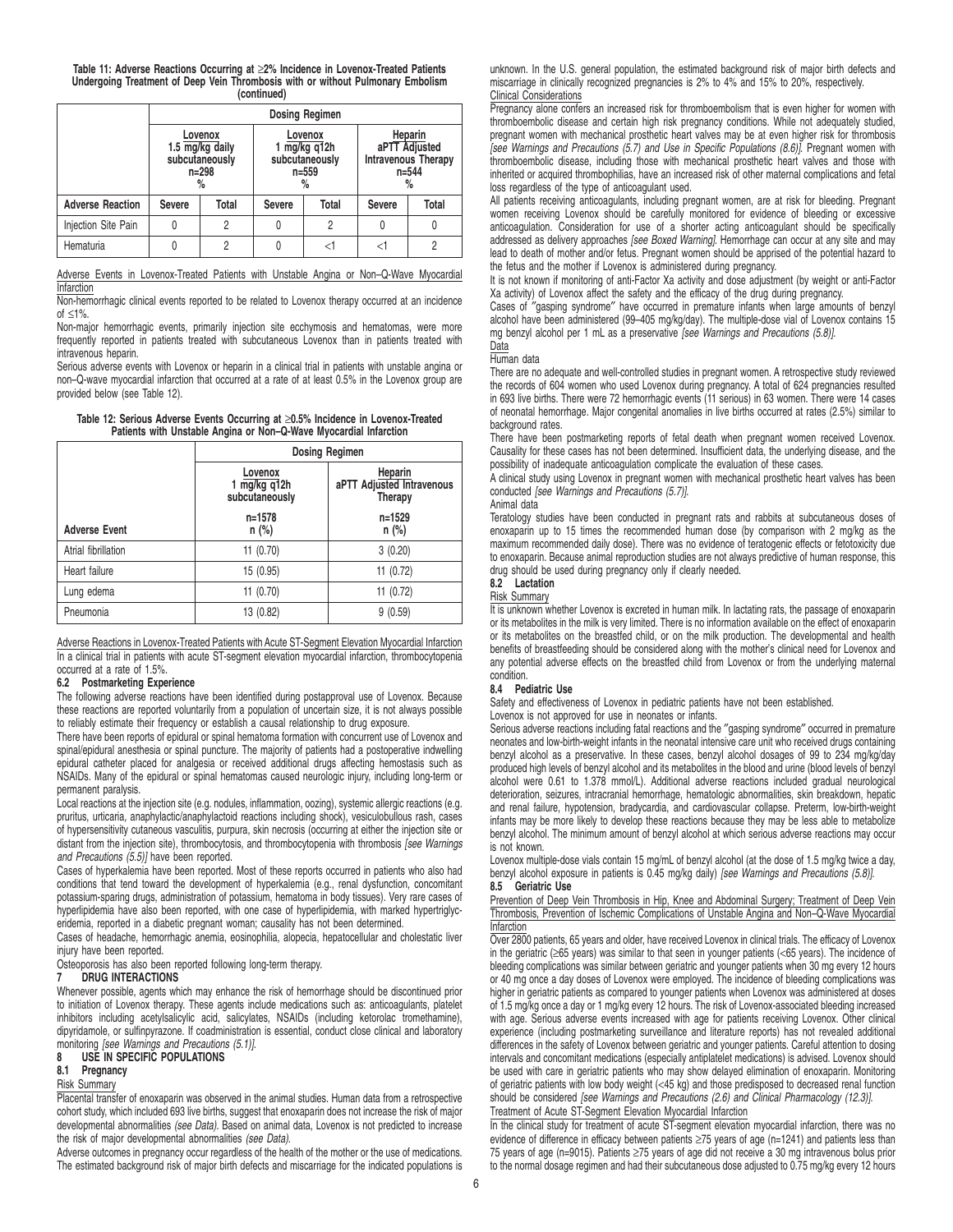#### **Table 11: Adverse Reactions Occurring at** ≥**2% Incidence in Lovenox-Treated Patients Undergoing Treatment of Deep Vein Thrombosis with or without Pulmonary Embolism (continued)**

|                         |                                                                   | <b>Dosing Regimen</b> |                                                               |       |                                                                      |       |  |
|-------------------------|-------------------------------------------------------------------|-----------------------|---------------------------------------------------------------|-------|----------------------------------------------------------------------|-------|--|
|                         | Lovenox<br>1.5 mg/kg daily<br>subcutaneously<br>$n = 298$<br>$\%$ |                       | Lovenox<br>1 $mg/kg$ q12h<br>subcutaneously<br>$n = 559$<br>% |       | Heparin<br>aPTT Adjusted<br>Intravenous Therapy<br>$n = 544$<br>$\%$ |       |  |
| <b>Adverse Reaction</b> | Severe                                                            | Total                 | Severe                                                        | Total | <b>Severe</b>                                                        | Total |  |
| Injection Site Pain     |                                                                   | 2                     |                                                               | 2     |                                                                      |       |  |
| Hematuria               |                                                                   | っ                     |                                                               | <1    | <1                                                                   | 2     |  |

Adverse Events in Lovenox-Treated Patients with Unstable Angina or Non–Q-Wave Myocardial **Infarction** 

Non-hemorrhagic clinical events reported to be related to Lovenox therapy occurred at an incidence of ≤1%.

Non-major hemorrhagic events, primarily injection site ecchymosis and hematomas, were more frequently reported in patients treated with subcutaneous Lovenox than in patients treated with intravenous heparin.

Serious adverse events with Lovenox or heparin in a clinical trial in patients with unstable angina or non–Q-wave myocardial infarction that occurred at a rate of at least 0.5% in the Lovenox group are provided below (see Table 12).

|  |  |  | Table 12: Serious Adverse Events Occurring at ≥0.5% Incidence in Lovenox-Treated |  |
|--|--|--|----------------------------------------------------------------------------------|--|
|  |  |  | Patients with Unstable Angina or Non-Q-Wave Myocardial Infarction                |  |

|                      | <b>Dosing Regimen</b>                       |                                                 |  |  |  |
|----------------------|---------------------------------------------|-------------------------------------------------|--|--|--|
|                      | Lovenox<br>1 mg/kg $q12h$<br>subcutaneously | Heparin<br>aPTT Adjusted Intravenous<br>Therapy |  |  |  |
| <b>Adverse Event</b> | $n = 1578$<br>$n$ (%)                       | $n = 1529$<br>$n$ (%)                           |  |  |  |
| Atrial fibrillation  | 11 (0.70)                                   | 3(0.20)                                         |  |  |  |
| Heart failure        | 15 (0.95)                                   | 11(0.72)                                        |  |  |  |
| Lung edema           | 11 (0.70)                                   | 11 (0.72)                                       |  |  |  |
| Pneumonia            | 13 (0.82)                                   | 9(0.59)                                         |  |  |  |

Adverse Reactions in Lovenox-Treated Patients with Acute ST-Segment Elevation Myocardial Infarction In a clinical trial in patients with acute ST-segment elevation myocardial infarction, thrombocytopenia occurred at a rate of 1.5%.

## **6.2 Postmarketing Experience**

The following adverse reactions have been identified during postapproval use of Lovenox. Because these reactions are reported voluntarily from a population of uncertain size, it is not always possible to reliably estimate their frequency or establish a causal relationship to drug exposure.

There have been reports of epidural or spinal hematoma formation with concurrent use of Lovenox and spinal/epidural anesthesia or spinal puncture. The majority of patients had a postoperative indwelling epidural catheter placed for analgesia or received additional drugs affecting hemostasis such as NSAIDs. Many of the epidural or spinal hematomas caused neurologic injury, including long-term or permanent paralysis.

Local reactions at the injection site (e.g. nodules, inflammation, oozing), systemic allergic reactions (e.g. pruritus, urticaria, anaphylactic/anaphylactoid reactions including shock), vesiculobullous rash, cases of hypersensitivity cutaneous vasculitis, purpura, skin necrosis (occurring at either the injection site or distant from the injection site), thrombocytosis, and thrombocytopenia with thrombosis [see Warnings and Precautions (5.5)] have been reported.

Cases of hyperkalemia have been reported. Most of these reports occurred in patients who also had conditions that tend toward the development of hyperkalemia (e.g., renal dysfunction, concomitant potassium-sparing drugs, administration of potassium, hematoma in body tissues). Very rare cases of hyperlipidemia have also been reported, with one case of hyperlipidemia, with marked hypertriglyceridemia, reported in a diabetic pregnant woman; causality has not been determined.

Cases of headache, hemorrhagic anemia, eosinophilia, alopecia, hepatocellular and cholestatic liver injury have been reported.

Osteoporosis has also been reported following long-term therapy.

## **7 DRUG INTERACTIONS**

Whenever possible, agents which may enhance the risk of hemorrhage should be discontinued prior to initiation of Lovenox therapy. These agents include medications such as: anticoagulants, platelet inhibitors including acetylsalicylic acid, salicylates, NSAIDs (including ketorolac tromethamine), dipyridamole, or sulfinpyrazone. If coadministration is essential, conduct close clinical and laboratory monitoring [see Warnings and Precautions (5.1)].

## **8 USE IN SPECIFIC POPULATIONS**

## **8.1 Pregnancy**

Risk Summary

Placental transfer of enoxaparin was observed in the animal studies. Human data from a retrospective cohort study, which included 693 live births, suggest that enoxaparin does not increase the risk of major developmental abnormalities (see Data). Based on animal data, Lovenox is not predicted to increase the risk of major developmental abnormalities (see Data).

Adverse outcomes in pregnancy occur regardless of the health of the mother or the use of medications. The estimated background risk of major birth defects and miscarriage for the indicated populations is unknown. In the U.S. general population, the estimated background risk of major birth defects and miscarriage in clinically recognized pregnancies is 2% to 4% and 15% to 20%, respectively. Clinical Considerations

Pregnancy alone confers an increased risk for thromboembolism that is even higher for women with thromboembolic disease and certain high risk pregnancy conditions. While not adequately studied, pregnant women with mechanical prosthetic heart valves may be at even higher risk for thrombosis [see Warnings and Precautions (5.7) and Use in Specific Populations (8.6)]. Pregnant women with thromboembolic disease, including those with mechanical prosthetic heart valves and those with inherited or acquired thrombophilias, have an increased risk of other maternal complications and fetal loss regardless of the type of anticoagulant used.

All patients receiving anticoagulants, including pregnant women, are at risk for bleeding. Pregnant women receiving Lovenox should be carefully monitored for evidence of bleeding or excessive anticoagulation. Consideration for use of a shorter acting anticoagulant should be specifically addressed as delivery approaches [see Boxed Warning]. Hemorrhage can occur at any site and may lead to death of mother and/or fetus. Pregnant women should be apprised of the potential hazard to the fetus and the mother if Lovenox is administered during pregnancy.

It is not known if monitoring of anti-Factor Xa activity and dose adjustment (by weight or anti-Factor Xa activity) of Lovenox affect the safety and the efficacy of the drug during pregnancy.

Cases of ″gasping syndrome″ have occurred in premature infants when large amounts of benzyl alcohol have been administered (99–405 mg/kg/day). The multiple-dose vial of Lovenox contains 15 mg benzyl alcohol per 1 mL as a preservative [see Warnings and Precautions (5.8)].

# Data

Human data

There are no adequate and well-controlled studies in pregnant women. A retrospective study reviewed the records of 604 women who used Lovenox during pregnancy. A total of 624 pregnancies resulted in 693 live births. There were 72 hemorrhagic events (11 serious) in 63 women. There were 14 cases of neonatal hemorrhage. Major congenital anomalies in live births occurred at rates (2.5%) similar to background rates.

There have been postmarketing reports of fetal death when pregnant women received Lovenox. Causality for these cases has not been determined. Insufficient data, the underlying disease, and the possibility of inadequate anticoagulation complicate the evaluation of these cases.

A clinical study using Lovenox in pregnant women with mechanical prosthetic heart valves has been conducted [see Warnings and Precautions (5.7)].

## Animal data

Teratology studies have been conducted in pregnant rats and rabbits at subcutaneous doses of enoxaparin up to 15 times the recommended human dose (by comparison with 2 mg/kg as the maximum recommended daily dose). There was no evidence of teratogenic effects or fetotoxicity due to enoxaparin. Because animal reproduction studies are not always predictive of human response, this drug should be used during pregnancy only if clearly needed.<br>8.2 Lactation

### **8.2 Lactation**

Risk Summary

It is unknown whether Lovenox is excreted in human milk. In lactating rats, the passage of enoxaparin or its metabolites in the milk is very limited. There is no information available on the effect of enoxaparin or its metabolites on the breastfed child, or on the milk production. The developmental and health benefits of breastfeeding should be considered along with the mother's clinical need for Lovenox and any potential adverse effects on the breastfed child from Lovenox or from the underlying maternal condition.

## **8.4 Pediatric Use**

Safety and effectiveness of Lovenox in pediatric patients have not been established.

Lovenox is not approved for use in neonates or infants.

Serious adverse reactions including fatal reactions and the ″gasping syndrome″ occurred in premature neonates and low-birth-weight infants in the neonatal intensive care unit who received drugs containing benzyl alcohol as a preservative. In these cases, benzyl alcohol dosages of 99 to 234 mg/kg/day produced high levels of benzyl alcohol and its metabolites in the blood and urine (blood levels of benzyl alcohol were 0.61 to 1.378 mmol/L). Additional adverse reactions included gradual neurological deterioration, seizures, intracranial hemorrhage, hematologic abnormalities, skin breakdown, hepatic and renal failure, hypotension, bradycardia, and cardiovascular collapse. Preterm, low-birth-weight infants may be more likely to develop these reactions because they may be less able to metabolize benzyl alcohol. The minimum amount of benzyl alcohol at which serious adverse reactions may occur is not known.

Lovenox multiple-dose vials contain 15 mg/mL of benzyl alcohol (at the dose of 1.5 mg/kg twice a day, benzyl alcohol exposure in patients is 0.45 mg/kg daily) [see Warnings and Precautions (5.8)].

## **8.5 Geriatric Use**

Prevention of Deep Vein Thrombosis in Hip, Knee and Abdominal Surgery; Treatment of Deep Vein Thrombosis, Prevention of Ischemic Complications of Unstable Angina and Non–Q-Wave Myocardial **Infarction** 

Over 2800 patients, 65 years and older, have received Lovenox in clinical trials. The efficacy of Lovenox in the geriatric (≥65 years) was similar to that seen in younger patients (<65 years). The incidence of bleeding complications was similar between geriatric and younger patients when 30 mg every 12 hours or 40 mg once a day doses of Lovenox were employed. The incidence of bleeding complications was higher in geriatric patients as compared to younger patients when Lovenox was administered at doses of 1.5 mg/kg once a day or 1 mg/kg every 12 hours. The risk of Lovenox-associated bleeding increased with age. Serious adverse events increased with age for patients receiving Lovenox. Other clinical experience (including postmarketing surveillance and literature reports) has not revealed additional differences in the safety of Lovenox between geriatric and younger patients. Careful attention to dosing intervals and concomitant medications (especially antiplatelet medications) is advised. Lovenox should be used with care in geriatric patients who may show delayed elimination of enoxaparin. Monitoring of geriatric patients with low body weight (<45 kg) and those predisposed to decreased renal function should be considered [see Warnings and Precautions (2.6) and Clinical Pharmacology (12.3)].

## Treatment of Acute ST-Segment Elevation Myocardial Infarction

In the clinical study for treatment of acute ST-segment elevation myocardial infarction, there was no evidence of difference in efficacy between patients ≥75 years of age (n=1241) and patients less than 75 years of age (n=9015). Patients ≥75 years of age did not receive a 30 mg intravenous bolus prior to the normal dosage regimen and had their subcutaneous dose adjusted to 0.75 mg/kg every 12 hours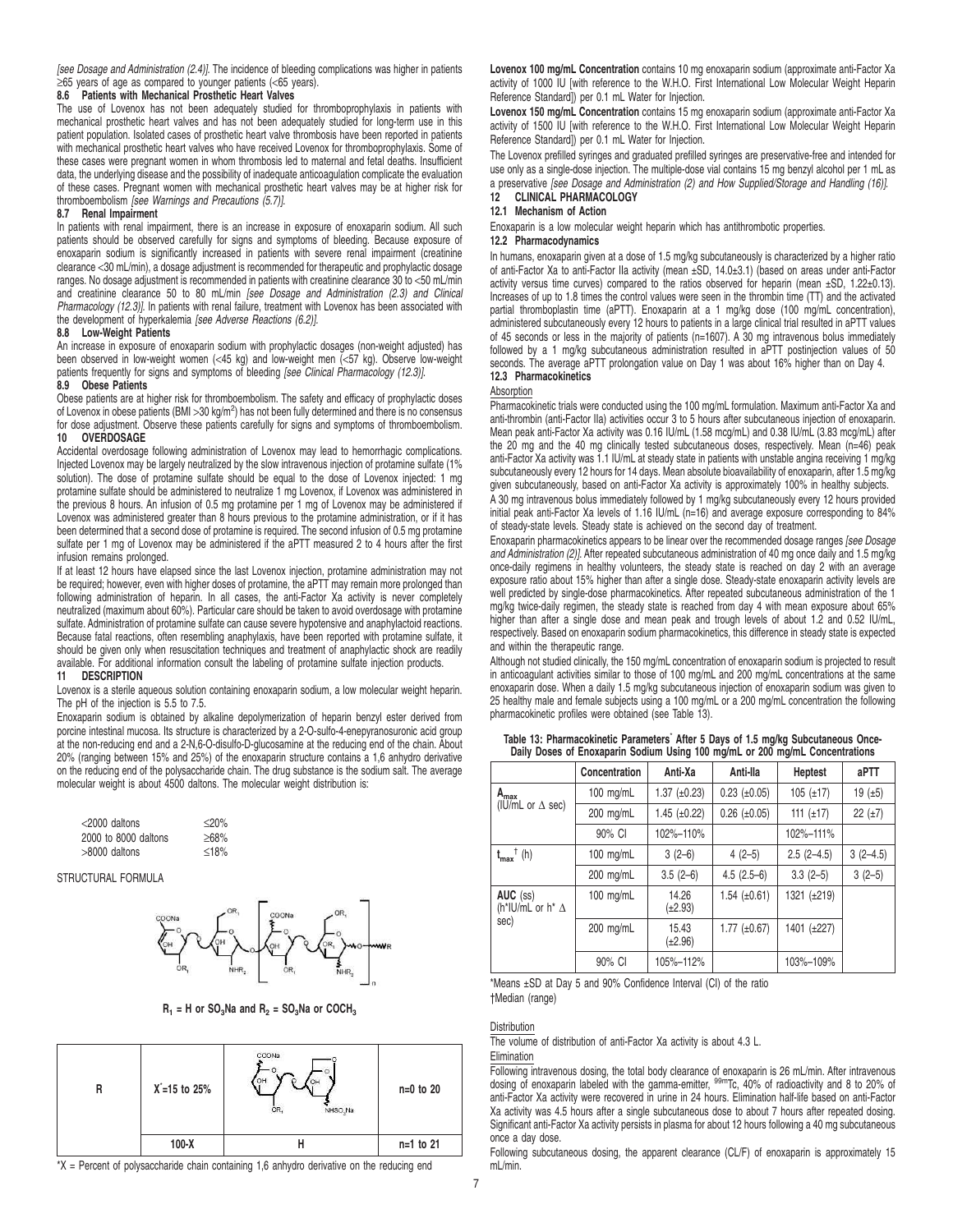[see Dosage and Administration (2.4)]. The incidence of bleeding complications was higher in patients ≥65 years of age as compared to younger patients (<65 years).

## **8.6 Patients with Mechanical Prosthetic Heart Valves**

The use of Lovenox has not been adequately studied for thromboprophylaxis in patients with mechanical prosthetic heart valves and has not been adequately studied for long-term use in this patient population. Isolated cases of prosthetic heart valve thrombosis have been reported in patients with mechanical prosthetic heart valves who have received Lovenox for thromboprophylaxis. Some of these cases were pregnant women in whom thrombosis led to maternal and fetal deaths. Insufficient data, the underlying disease and the possibility of inadequate anticoagulation complicate the evaluation of these cases. Pregnant women with mechanical prosthetic heart valves may be at higher risk for thromboembolism [see Warnings and Precautions (5.7)].

### **8.7 Renal Impairment**

In patients with renal impairment, there is an increase in exposure of enoxaparin sodium. All such patients should be observed carefully for signs and symptoms of bleeding. Because exposure of enoxaparin sodium is significantly increased in patients with severe renal impairment (creatinine clearance <30 mL/min), a dosage adjustment is recommended for therapeutic and prophylactic dosage ranges. No dosage adjustment is recommended in patients with creatinine clearance 30 to <50 mL/min and creatinine clearance 50 to 80 mL/min [see Dosage and Administration (2.3) and Clinical Pharmacology (12.3)]. In patients with renal failure, treatment with Lovenox has been associated with the development of hyperkalemia [see Adverse Reactions (6.2)].

### **8.8 Low-Weight Patients**

An increase in exposure of enoxaparin sodium with prophylactic dosages (non-weight adjusted) has been observed in low-weight women (<45 kg) and low-weight men (<57 kg). Observe low-weight patients frequently for signs and symptoms of bleeding [see Clinical Pharmacology (12.3)].

#### **8.9 Obese Patients**

Obese patients are at higher risk for thromboembolism. The safety and efficacy of prophylactic doses of Lovenox in obese patients (BMI >30 kg/m<sup>2</sup>) has not been fully determined and there is no consensus for dose adjustment. Observe these patients carefully for signs and symptoms of thromboembolism. **10 OVERDOSAGE**

Accidental overdosage following administration of Lovenox may lead to hemorrhagic complications. Injected Lovenox may be largely neutralized by the slow intravenous injection of protamine sulfate (1% solution). The dose of protamine sulfate should be equal to the dose of Lovenox injected: 1 mg protamine sulfate should be administered to neutralize 1 mg Lovenox, if Lovenox was administered in the previous 8 hours. An infusion of 0.5 mg protamine per 1 mg of Lovenox may be administered if Lovenox was administered greater than 8 hours previous to the protamine administration, or if it has been determined that a second dose of protamine is required. The second infusion of 0.5 mg protamine sulfate per 1 mg of Lovenox may be administered if the aPTT measured 2 to 4 hours after the first infusion remains prolonged.

If at least 12 hours have elapsed since the last Lovenox injection, protamine administration may not be required; however, even with higher doses of protamine, the aPTT may remain more prolonged than following administration of heparin. In all cases, the anti-Factor Xa activity is never completely neutralized (maximum about 60%). Particular care should be taken to avoid overdosage with protamine sulfate. Administration of protamine sulfate can cause severe hypotensive and anaphylactoid reactions. Because fatal reactions, often resembling anaphylaxis, have been reported with protamine sulfate, it should be given only when resuscitation techniques and treatment of anaphylactic shock are readily available. For additional information consult the labeling of protamine sulfate injection products.

#### **11 DESCRIPTION**

Lovenox is a sterile aqueous solution containing enoxaparin sodium, a low molecular weight heparin. The pH of the injection is 5.5 to 7.5.

Enoxaparin sodium is obtained by alkaline depolymerization of heparin benzyl ester derived from porcine intestinal mucosa. Its structure is characterized by a 2-O-sulfo-4-enepyranosuronic acid group at the non-reducing end and a 2-N,6-O-disulfo-D-glucosamine at the reducing end of the chain. About 20% (ranging between 15% and 25%) of the enoxaparin structure contains a 1,6 anhydro derivative on the reducing end of the polysaccharide chain. The drug substance is the sodium salt. The average molecular weight is about 4500 daltons. The molecular weight distribution is:

| $<$ 2000 daltons     | $\leq$ 20% |
|----------------------|------------|
| 2000 to 8000 daltons | $>68\%$    |
| $>8000$ daltons      | ≤18%       |

#### STRUCTURAL FORMULA



 $R_1$  = H or SO<sub>3</sub>Na and  $R_2$  = SO<sub>3</sub>Na or COCH<sub>3</sub>

| R | $X = 15$ to 25% | COONa<br>NHSO, Na | $n=0$ to 20 |
|---|-----------------|-------------------|-------------|
|   | $100-X$         | п                 | $n=1$ to 21 |

 $*X$  = Percent of polysaccharide chain containing 1,6 anhydro derivative on the reducing end

**Lovenox 100 mg/mL Concentration** contains 10 mg enoxaparin sodium (approximate anti-Factor Xa activity of 1000 IU [with reference to the W.H.O. First International Low Molecular Weight Heparin Reference Standard]) per 0.1 mL Water for Injection.

**Lovenox 150 mg/mL Concentration** contains 15 mg enoxaparin sodium (approximate anti-Factor Xa activity of 1500 IU [with reference to the W.H.O. First International Low Molecular Weight Heparin Reference Standard]) per 0.1 mL Water for Injection.

The Lovenox prefilled syringes and graduated prefilled syringes are preservative-free and intended for use only as a single-dose injection. The multiple-dose vial contains 15 mg benzyl alcohol per 1 mL as a preservative [see Dosage and Administration (2) and How Supplied/Storage and Handling (16)]. **12 CLINICAL PHARMACOLOGY**

## **12.1 Mechanism of Action**

Enoxaparin is a low molecular weight heparin which has antithrombotic properties.

## **12.2 Pharmacodynamics**

In humans, enoxaparin given at a dose of 1.5 mg/kg subcutaneously is characterized by a higher ratio of anti-Factor Xa to anti-Factor IIa activity (mean ±SD, 14.0±3.1) (based on areas under anti-Factor activity versus time curves) compared to the ratios observed for heparin (mean ±SD, 1.22±0.13). Increases of up to 1.8 times the control values were seen in the thrombin time (TT) and the activated partial thromboplastin time (aPTT). Enoxaparin at a 1 mg/kg dose (100 mg/mL concentration), administered subcutaneously every 12 hours to patients in a large clinical trial resulted in aPTT values of 45 seconds or less in the majority of patients (n=1607). A 30 mg intravenous bolus immediately followed by a 1 mg/kg subcutaneous administration resulted in aPTT postinjection values of 50 seconds. The average aPTT prolongation value on Day 1 was about 16% higher than on Day 4. **12.3 Pharmacokinetics**

### Absorption

Pharmacokinetic trials were conducted using the 100 mg/mL formulation. Maximum anti-Factor Xa and anti-thrombin (anti-Factor IIa) activities occur 3 to 5 hours after subcutaneous injection of enoxaparin. Mean peak anti-Factor Xa activity was 0.16 IU/mL (1.58 mcg/mL) and 0.38 IU/mL (3.83 mcg/mL) after the 20 mg and the 40 mg clinically tested subcutaneous doses, respectively. Mean (n=46) peak anti-Factor Xa activity was 1.1 IU/mL at steady state in patients with unstable angina receiving 1 mg/kg subcutaneously every 12 hours for 14 days. Mean absolute bioavailability of enoxaparin, after 1.5 mg/kg given subcutaneously, based on anti-Factor Xa activity is approximately 100% in healthy subjects.

A 30 mg intravenous bolus immediately followed by 1 mg/kg subcutaneously every 12 hours provided initial peak anti-Factor Xa levels of 1.16 IU/mL (n=16) and average exposure corresponding to 84% of steady-state levels. Steady state is achieved on the second day of treatment.

Enoxaparin pharmacokinetics appears to be linear over the recommended dosage ranges [see Dosage and Administration (2)]. After repeated subcutaneous administration of 40 mg once daily and 1.5 mg/kg once-daily regimens in healthy volunteers, the steady state is reached on day 2 with an average exposure ratio about 15% higher than after a single dose. Steady-state enoxaparin activity levels are well predicted by single-dose pharmacokinetics. After repeated subcutaneous administration of the 1 mg/kg twice-daily regimen, the steady state is reached from day 4 with mean exposure about 65% higher than after a single dose and mean peak and trough levels of about 1.2 and 0.52 IU/mL, respectively. Based on enoxaparin sodium pharmacokinetics, this difference in steady state is expected and within the therapeutic range.

Although not studied clinically, the 150 mg/mL concentration of enoxaparin sodium is projected to result in anticoagulant activities similar to those of 100 mg/mL and 200 mg/mL concentrations at the same enoxaparin dose. When a daily 1.5 mg/kg subcutaneous injection of enoxaparin sodium was given to 25 healthy male and female subjects using a 100 mg/mL or a 200 mg/mL concentration the following pharmacokinetic profiles were obtained (see Table 13).

| Table 13: Pharmacokinetic Parameters <sup>*</sup> After 5 Days of 1.5 mg/kg Subcutaneous Once- |  |  |
|------------------------------------------------------------------------------------------------|--|--|
| Daily Doses of Enoxaparin Sodium Using 100 mg/mL or 200 mg/mL Concentrations                   |  |  |

|                                        | Concentration | Anti-Xa               | Anti-lla              | Heptest        | aPTT         |
|----------------------------------------|---------------|-----------------------|-----------------------|----------------|--------------|
| $A_{\text{max}}$                       | 100 $mg/mL$   | $1.37 \ (\pm 0.23)$   | $0.23$ ( $\pm 0.05$ ) | $105 (+17)$    | 19 $(\pm 5)$ |
| (IU/mL or $\Delta$ sec)                | 200 mg/mL     | 1.45 $(\pm 0.22)$     | $0.26$ ( $\pm 0.05$ ) | 111 $(\pm 17)$ | 22 $(\pm 7)$ |
|                                        | 90% CI        | 102%-110%             |                       | 102%-111%      |              |
| $t_{max}$ <sup>†</sup> (h)             | 100 mg/mL     | $3(2-6)$              | $4(2-5)$              | $2.5(2-4.5)$   | $3(2-4.5)$   |
|                                        | 200 mg/mL     | $3.5(2-6)$            | $4.5(2.5-6)$          | $3.3(2-5)$     | $3(2-5)$     |
| $AUC$ (ss)<br>(h*IU/mL or $h^* \Delta$ | 100 mg/mL     | 14.26<br>$(\pm 2.93)$ | $1.54 \ (\pm 0.61)$   | 1321 (±219)    |              |
| sec)                                   | 200 mg/mL     | 15.43<br>$(\pm 2.96)$ | $1.77 (\pm 0.67)$     | 1401 (±227)    |              |
|                                        | 90% CI        | 105%-112%             |                       | 103%-109%      |              |

\*Means ±SD at Day 5 and 90% Confidence Interval (CI) of the ratio †Median (range)

### Distribution

The volume of distribution of anti-Factor Xa activity is about 4.3 L.

Elimination

Following intravenous dosing, the total body clearance of enoxaparin is 26 mL/min. After intravenous dosing of enoxaparin labeled with the gamma-emitter, <sup>99m</sup>Tc, 40% of radioactivity and 8 to 20% of anti-Factor Xa activity were recovered in urine in 24 hours. Elimination half-life based on anti-Factor Xa activity was 4.5 hours after a single subcutaneous dose to about 7 hours after repeated dosing. Significant anti-Factor Xa activity persists in plasma for about 12 hours following a 40 mg subcutaneous once a day dose.

Following subcutaneous dosing, the apparent clearance (CL/F) of enoxaparin is approximately 15 mL/min.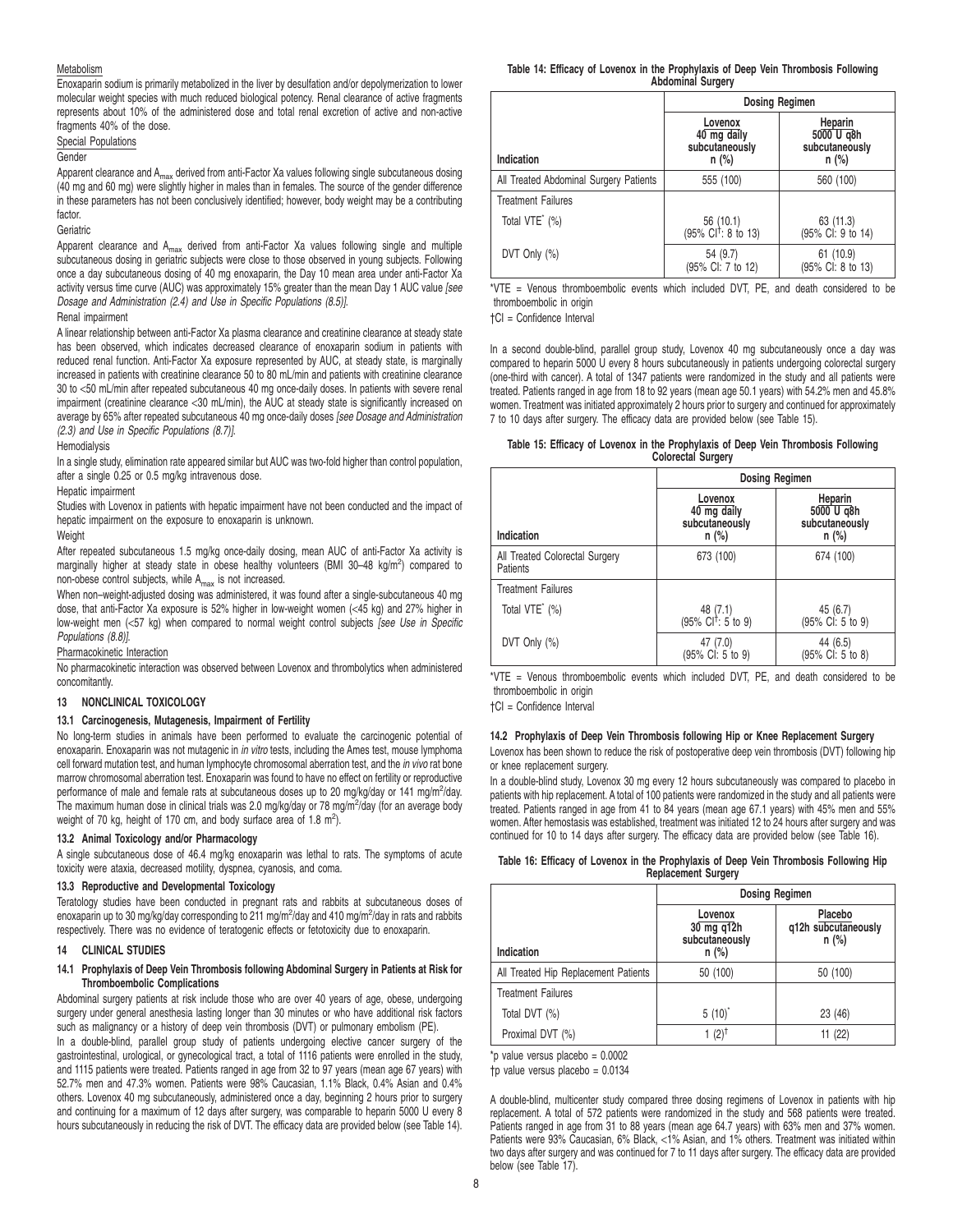## Metabolism

Enoxaparin sodium is primarily metabolized in the liver by desulfation and/or depolymerization to lower molecular weight species with much reduced biological potency. Renal clearance of active fragments represents about 10% of the administered dose and total renal excretion of active and non-active fragments 40% of the dose.

## Special Populations

Gender

Apparent clearance and A<sub>max</sub> derived from anti-Factor Xa values following single subcutaneous dosing (40 mg and 60 mg) were slightly higher in males than in females. The source of the gender difference in these parameters has not been conclusively identified; however, body weight may be a contributing factor.

**Geriatric** 

Apparent clearance and  $A_{max}$  derived from anti-Factor Xa values following single and multiple subcutaneous dosing in geriatric subjects were close to those observed in young subjects. Following once a day subcutaneous dosing of 40 mg enoxaparin, the Day 10 mean area under anti-Factor Xa activity versus time curve (AUC) was approximately 15% greater than the mean Day 1 AUC value [see Dosage and Administration (2.4) and Use in Specific Populations (8.5)].

### Renal impairment

A linear relationship between anti-Factor Xa plasma clearance and creatinine clearance at steady state has been observed, which indicates decreased clearance of enoxaparin sodium in patients with reduced renal function. Anti-Factor Xa exposure represented by AUC, at steady state, is marginally increased in patients with creatinine clearance 50 to 80 mL/min and patients with creatinine clearance 30 to <50 mL/min after repeated subcutaneous 40 mg once-daily doses. In patients with severe renal impairment (creatinine clearance <30 mL/min), the AUC at steady state is significantly increased on average by 65% after repeated subcutaneous 40 mg once-daily doses [see Dosage and Administration (2.3) and Use in Specific Populations (8.7)].

## Hemodialysis

In a single study, elimination rate appeared similar but AUC was two-fold higher than control population, after a single 0.25 or 0.5 mg/kg intravenous dose.

### Hepatic impairment

Studies with Lovenox in patients with hepatic impairment have not been conducted and the impact of hepatic impairment on the exposure to enoxaparin is unknown.

#### Weight

After repeated subcutaneous 1.5 mg/kg once-daily dosing, mean AUC of anti-Factor Xa activity is marginally higher at steady state in obese healthy volunteers (BMI 30-48 kg/m<sup>2</sup>) compared to non-obese control subjects, while  $A_{max}$  is not increased.

When non–weight-adjusted dosing was administered, it was found after a single-subcutaneous 40 mg dose, that anti-Factor Xa exposure is 52% higher in low-weight women (<45 kg) and 27% higher in low-weight men (<57 kg) when compared to normal weight control subjects [see Use in Specific Populations (8.8)].

## Pharmacokinetic Interaction

No pharmacokinetic interaction was observed between Lovenox and thrombolytics when administered concomitantly.

### **13 NONCLINICAL TOXICOLOGY**

### **13.1 Carcinogenesis, Mutagenesis, Impairment of Fertility**

No long-term studies in animals have been performed to evaluate the carcinogenic potential of enoxaparin. Enoxaparin was not mutagenic in in vitro tests, including the Ames test, mouse lymphoma cell forward mutation test, and human lymphocyte chromosomal aberration test, and the in vivo rat bone marrow chromosomal aberration test. Enoxaparin was found to have no effect on fertility or reproductive performance of male and female rats at subcutaneous doses up to 20 mg/kg/day or 141 mg/m<sup>2</sup>/day. The maximum human dose in clinical trials was 2.0 mg/kg/day or 78 mg/m<sup>2</sup>/day (for an average body weight of 70 kg, height of 170 cm, and body surface area of 1.8 m<sup>2</sup>).

## **13.2 Animal Toxicology and/or Pharmacology**

A single subcutaneous dose of 46.4 mg/kg enoxaparin was lethal to rats. The symptoms of acute toxicity were ataxia, decreased motility, dyspnea, cyanosis, and coma.

## **13.3 Reproductive and Developmental Toxicology**

Teratology studies have been conducted in pregnant rats and rabbits at subcutaneous doses of enoxaparin up to 30 mg/kg/day corresponding to 211 mg/m<sup>2</sup>/day and 410 mg/m<sup>2</sup>/day in rats and rabbits respectively. There was no evidence of teratogenic effects or fetotoxicity due to enoxaparin.

## **14 CLINICAL STUDIES**

### **14.1 Prophylaxis of Deep Vein Thrombosis following Abdominal Surgery in Patients at Risk for Thromboembolic Complications**

Abdominal surgery patients at risk include those who are over 40 years of age, obese, undergoing surgery under general anesthesia lasting longer than 30 minutes or who have additional risk factors such as malignancy or a history of deep vein thrombosis (DVT) or pulmonary embolism (PE).

In a double-blind, parallel group study of patients undergoing elective cancer surgery of the gastrointestinal, urological, or gynecological tract, a total of 1116 patients were enrolled in the study, and 1115 patients were treated. Patients ranged in age from 32 to 97 years (mean age 67 years) with 52.7% men and 47.3% women. Patients were 98% Caucasian, 1.1% Black, 0.4% Asian and 0.4% others. Lovenox 40 mg subcutaneously, administered once a day, beginning 2 hours prior to surgery and continuing for a maximum of 12 days after surgery, was comparable to heparin 5000 U every 8 hours subcutaneously in reducing the risk of DVT. The efficacy data are provided below (see Table 14).

**Table 14: Efficacy of Lovenox in the Prophylaxis of Deep Vein Thrombosis Following Abdominal Surgery**

|                                        | <b>Dosing Regimen</b>                               |                                                    |  |  |  |  |  |
|----------------------------------------|-----------------------------------------------------|----------------------------------------------------|--|--|--|--|--|
| Indication                             | Lovenox<br>40 mg daily<br>subcutaneously<br>$n$ (%) | Heparin<br>5000 U q8h<br>subcutaneously<br>$n$ (%) |  |  |  |  |  |
| All Treated Abdominal Surgery Patients | 555 (100)                                           | 560 (100)                                          |  |  |  |  |  |
| <b>Treatment Failures</b>              |                                                     |                                                    |  |  |  |  |  |
| Total VTE <sup>*</sup> (%)             | $56(10.1)$<br>(95% CI <sup>†</sup> : 8 to 13)       | 63 (11.3)<br>(95% Cl: 9 to 14)                     |  |  |  |  |  |
| DVT Only $(\%)$                        | 54 (9.7)<br>(95% CI: 7 to 12)                       | 61(10.9)<br>(95% CI: 8 to 13)                      |  |  |  |  |  |

\*VTE = Venous thromboembolic events which included DVT, PE, and death considered to be thromboembolic in origin

†CI = Confidence Interval

In a second double-blind, parallel group study, Lovenox 40 mg subcutaneously once a day was compared to heparin 5000 U every 8 hours subcutaneously in patients undergoing colorectal surgery (one-third with cancer). A total of 1347 patients were randomized in the study and all patients were treated. Patients ranged in age from 18 to 92 years (mean age 50.1 years) with 54.2% men and 45.8% women. Treatment was initiated approximately 2 hours prior to surgery and continued for approximately 7 to 10 days after surgery. The efficacy data are provided below (see Table 15).

| Table 15: Efficacy of Lovenox in the Prophylaxis of Deep Vein Thrombosis Following |                           |  |  |
|------------------------------------------------------------------------------------|---------------------------|--|--|
|                                                                                    | <b>Colorectal Surgery</b> |  |  |

|                                            | <b>Dosing Regimen</b>                             |                                                        |  |  |  |  |  |  |
|--------------------------------------------|---------------------------------------------------|--------------------------------------------------------|--|--|--|--|--|--|
| Indication                                 | Lovenox<br>40 mg daily<br>subcutaneously<br>n (%) | Heparin<br>5000 U g8h<br>subcutaneously<br>$n$ (%)     |  |  |  |  |  |  |
| All Treated Colorectal Surgery<br>Patients | 673 (100)                                         | 674 (100)                                              |  |  |  |  |  |  |
| <b>Treatment Failures</b>                  |                                                   |                                                        |  |  |  |  |  |  |
| Total VTE <sup>*</sup> (%)                 | $48$ (7.1)<br>(95% CI <sup>†</sup> : 5 to 9)      | 45 (6.7)<br>$(95\% \text{ C}$ $\cdot 5 \text{ to } 9)$ |  |  |  |  |  |  |
| DVT Only (%)                               | 47 (7.0)<br>(95% CI: 5 to 9)                      | 44 (6.5)<br>(95% CI: 5 to 8)                           |  |  |  |  |  |  |

\*VTE = Venous thromboembolic events which included DVT, PE, and death considered to be thromboembolic in origin

†CI = Confidence Interval

## **14.2 Prophylaxis of Deep Vein Thrombosis following Hip or Knee Replacement Surgery**

Lovenox has been shown to reduce the risk of postoperative deep vein thrombosis (DVT) following hip or knee replacement surgery.

In a double-blind study, Lovenox 30 mg every 12 hours subcutaneously was compared to placebo in patients with hip replacement. A total of 100 patients were randomized in the study and all patients were treated. Patients ranged in age from 41 to 84 years (mean age 67.1 years) with 45% men and 55% women. After hemostasis was established, treatment was initiated 12 to 24 hours after surgery and was continued for 10 to 14 days after surgery. The efficacy data are provided below (see Table 16).

### **Table 16: Efficacy of Lovenox in the Prophylaxis of Deep Vein Thrombosis Following Hip Replacement Surgery**

|                                      | <b>Dosing Regimen</b>                                   |                                           |
|--------------------------------------|---------------------------------------------------------|-------------------------------------------|
| Indication                           | Lovenox<br>$30$ mg q $12h$<br>subcutaneously<br>$n$ (%) | Placebo<br>g12h subcutaneously<br>$n$ (%) |
| All Treated Hip Replacement Patients | 50 (100)                                                | 50 (100)                                  |
| <b>Treatment Failures</b>            |                                                         |                                           |
| Total DVT (%)                        | 5(10)                                                   | 23 (46)                                   |
| Proximal DVT (%)                     | 1 (2)†                                                  | 11 (22)                                   |

 $*$ p value versus placebo = 0.0002

†p value versus placebo = 0.0134

A double-blind, multicenter study compared three dosing regimens of Lovenox in patients with hip replacement. A total of 572 patients were randomized in the study and 568 patients were treated. Patients ranged in age from 31 to 88 years (mean age 64.7 years) with 63% men and 37% women. Patients were 93% Caucasian, 6% Black, <1% Asian, and 1% others. Treatment was initiated within two days after surgery and was continued for 7 to 11 days after surgery. The efficacy data are provided below (see Table 17).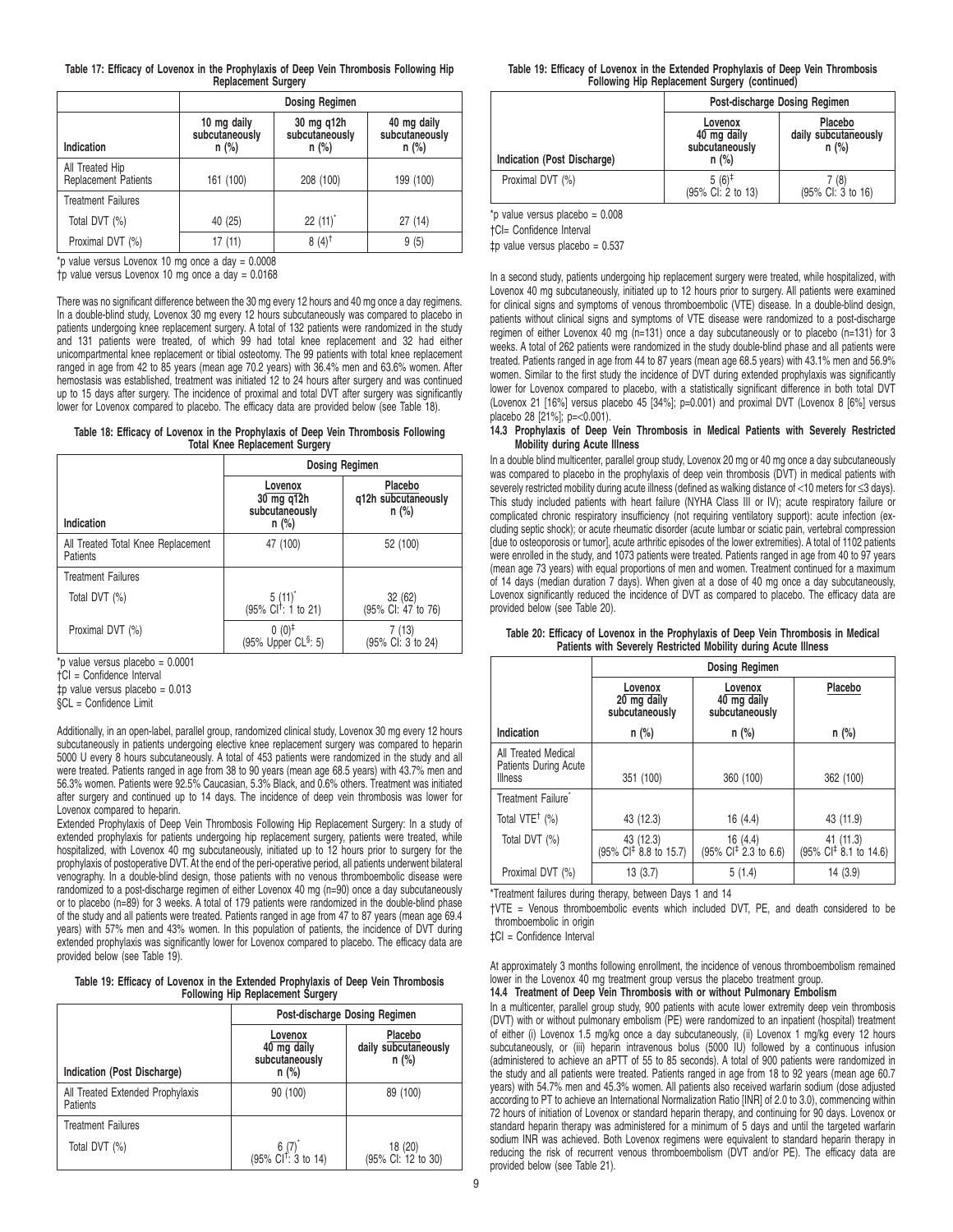|  |  |                            |  | Table 17: Efficacy of Lovenox in the Prophylaxis of Deep Vein Thrombosis Following Hip |  |
|--|--|----------------------------|--|----------------------------------------------------------------------------------------|--|
|  |  | <b>Replacement Surgery</b> |  |                                                                                        |  |

|                                                | <b>Dosing Regimen</b>                    |                                         |                                          |  |  |  |  |  |  |  |
|------------------------------------------------|------------------------------------------|-----------------------------------------|------------------------------------------|--|--|--|--|--|--|--|
| Indication                                     | 10 mg daily<br>subcutaneously<br>$n$ (%) | 30 mg q12h<br>subcutaneously<br>$n$ (%) | 40 mg daily<br>subcutaneously<br>$n$ (%) |  |  |  |  |  |  |  |
| All Treated Hip<br><b>Replacement Patients</b> | 161 (100)                                | 208 (100)                               | 199 (100)                                |  |  |  |  |  |  |  |
| <b>Treatment Failures</b>                      |                                          |                                         |                                          |  |  |  |  |  |  |  |
| Total DVT (%)                                  | 40 (25)                                  | $22(11)^{4}$                            | 27(14)                                   |  |  |  |  |  |  |  |
| Proximal DVT (%)                               | 17 (11)                                  | $8(4)^{1}$                              | 9(5)                                     |  |  |  |  |  |  |  |

 $*$ p value versus Lovenox 10 mg once a day = 0.0008

†p value versus Lovenox 10 mg once a day = 0.0168

There was no significant difference between the 30 mg every 12 hours and 40 mg once a day regimens. In a double-blind study, Lovenox 30 mg every 12 hours subcutaneously was compared to placebo in patients undergoing knee replacement surgery. A total of 132 patients were randomized in the study and 131 patients were treated, of which 99 had total knee replacement and 32 had either unicompartmental knee replacement or tibial osteotomy. The 99 patients with total knee replacement ranged in age from 42 to 85 years (mean age 70.2 years) with 36.4% men and 63.6% women. After hemostasis was established, treatment was initiated 12 to 24 hours after surgery and was continued up to 15 days after surgery. The incidence of proximal and total DVT after surgery was significantly lower for Lovenox compared to placebo. The efficacy data are provided below (see Table 18).

**Table 18: Efficacy of Lovenox in the Prophylaxis of Deep Vein Thrombosis Following Total Knee Replacement Surgery**

|                                                | <b>Dosing Regimen</b>                              |                                           |  |  |  |  |  |
|------------------------------------------------|----------------------------------------------------|-------------------------------------------|--|--|--|--|--|
| Indication                                     | Lovenox<br>30 mg q12h<br>subcutaneously<br>$n$ (%) | Placebo<br>q12h subcutaneously<br>$n$ (%) |  |  |  |  |  |
| All Treated Total Knee Replacement<br>Patients | 47 (100)                                           | 52 (100)                                  |  |  |  |  |  |
| <b>Treatment Failures</b>                      |                                                    |                                           |  |  |  |  |  |
| Total DVT (%)                                  | $5(11)^{2}$<br>(95% Cl <sup>†</sup> : 1 to 21)     | 32(62)<br>(95% CI: 47 to 76)              |  |  |  |  |  |
| Proximal DVT (%)                               | $(95\% \text{ Upper CL}^{\$}; 5)$                  | 7 (13)<br>(95% CI: 3 to 24)               |  |  |  |  |  |

 $*$ p value versus placebo = 0.0001

†CI = Confidence Interval

‡p value versus placebo = 0.013

§CL = Confidence Limit

Additionally, in an open-label, parallel group, randomized clinical study, Lovenox 30 mg every 12 hours subcutaneously in patients undergoing elective knee replacement surgery was compared to heparin 5000 U every 8 hours subcutaneously. A total of 453 patients were randomized in the study and all were treated. Patients ranged in age from 38 to 90 years (mean age 68.5 years) with 43.7% men and 56.3% women. Patients were 92.5% Caucasian, 5.3% Black, and 0.6% others. Treatment was initiated after surgery and continued up to 14 days. The incidence of deep vein thrombosis was lower for Lovenox compared to heparin.

Extended Prophylaxis of Deep Vein Thrombosis Following Hip Replacement Surgery: In a study of extended prophylaxis for patients undergoing hip replacement surgery, patients were treated, while hospitalized, with Lovenox 40 mg subcutaneously, initiated up to 12 hours prior to surgery for the prophylaxis of postoperative DVT. At the end of the peri-operative period, all patients underwent bilateral venography. In a double-blind design, those patients with no venous thromboembolic disease were randomized to a post-discharge regimen of either Lovenox 40 mg (n=90) once a day subcutaneously or to placebo (n=89) for 3 weeks. A total of 179 patients were randomized in the double-blind phase of the study and all patients were treated. Patients ranged in age from 47 to 87 years (mean age 69.4 years) with 57% men and 43% women. In this population of patients, the incidence of DVT during extended prophylaxis was significantly lower for Lovenox compared to placebo. The efficacy data are provided below (see Table 19).

**Table 19: Efficacy of Lovenox in the Extended Prophylaxis of Deep Vein Thrombosis Following Hip Replacement Surgery**

|                                              |                                                     | Post-discharge Dosing Regimen              |  |  |  |  |  |
|----------------------------------------------|-----------------------------------------------------|--------------------------------------------|--|--|--|--|--|
| Indication (Post Discharge)                  | Lovenox<br>40 mg daily<br>subcutaneously<br>$n$ (%) | Placebo<br>daily subcutaneously<br>$n$ (%) |  |  |  |  |  |
| All Treated Extended Prophylaxis<br>Patients | 90 (100)                                            | 89 (100)                                   |  |  |  |  |  |
| <b>Treatment Failures</b>                    |                                                     |                                            |  |  |  |  |  |
| Total DVT (%)                                | $6(7)^{6}$<br>(95% CI <sup>†</sup> : 3 to 14)       | 18 (20)<br>(95% CI: 12 to 30)              |  |  |  |  |  |

|  | Table 19: Efficacy of Lovenox in the Extended Prophylaxis of Deep Vein Thrombosis |  |  |  |  |
|--|-----------------------------------------------------------------------------------|--|--|--|--|
|  | Following Hip Replacement Surgery (continued)                                     |  |  |  |  |

|                             | Post-discharge Dosing Regimen                       |                                            |  |  |  |  |
|-----------------------------|-----------------------------------------------------|--------------------------------------------|--|--|--|--|
| Indication (Post Discharge) | Lovenox<br>40 mg daily<br>subcutaneously<br>$n$ (%) | Placebo<br>daily subcutaneously<br>$n$ (%) |  |  |  |  |
| Proximal DVT (%)            | $5(6)^{\ddagger}$<br>(95% CI: 2 to 13)              | 7 (8)<br>(95% CI: 3 to 16)                 |  |  |  |  |

\*p value versus placebo =  $0.008$ 

†CI= Confidence Interval

 $\text{\text{t}}$  value versus placebo = 0.537

In a second study, patients undergoing hip replacement surgery were treated, while hospitalized, with Lovenox 40 mg subcutaneously, initiated up to 12 hours prior to surgery. All patients were examined for clinical signs and symptoms of venous thromboembolic (VTE) disease. In a double-blind design, patients without clinical signs and symptoms of VTE disease were randomized to a post-discharge regimen of either Lovenox 40 mg (n=131) once a day subcutaneously or to placebo (n=131) for 3 weeks. A total of 262 patients were randomized in the study double-blind phase and all patients were treated. Patients ranged in age from 44 to 87 years (mean age 68.5 years) with 43.1% men and 56.9% women. Similar to the first study the incidence of DVT during extended prophylaxis was significantly lower for Lovenox compared to placebo, with a statistically significant difference in both total DVT (Lovenox 21 [16%] versus placebo 45 [34%]; p=0.001) and proximal DVT (Lovenox 8 [6%] versus placebo 28 [21%]; p=<0.001).

### **14.3 Prophylaxis of Deep Vein Thrombosis in Medical Patients with Severely Restricted Mobility during Acute Illness**

In a double blind multicenter, parallel group study, Lovenox 20 mg or 40 mg once a day subcutaneously was compared to placebo in the prophylaxis of deep vein thrombosis (DVT) in medical patients with severely restricted mobility during acute illness (defined as walking distance of <10 meters for ≤3 days). This study included patients with heart failure (NYHA Class III or IV); acute respiratory failure or complicated chronic respiratory insufficiency (not requiring ventilatory support): acute infection (excluding septic shock); or acute rheumatic disorder (acute lumbar or sciatic pain, vertebral compression [due to osteoporosis or tumor], acute arthritic episodes of the lower extremities). A total of 1102 patients were enrolled in the study, and 1073 patients were treated. Patients ranged in age from 40 to 97 years (mean age 73 years) with equal proportions of men and women. Treatment continued for a maximum of 14 days (median duration 7 days). When given at a dose of 40 mg once a day subcutaneously, Lovenox significantly reduced the incidence of DVT as compared to placebo. The efficacy data are provided below (see Table 20).

|                                                                       | <b>Dosing Regimen</b>                         |                                               |                                                     |  |  |  |  |  |  |  |
|-----------------------------------------------------------------------|-----------------------------------------------|-----------------------------------------------|-----------------------------------------------------|--|--|--|--|--|--|--|
|                                                                       | Lovenox<br>20 mg daily<br>subcutaneously      | Lovenox<br>40 mg daily<br>subcutaneously      | Placebo                                             |  |  |  |  |  |  |  |
| Indication                                                            | n (%)                                         | $n$ (%)                                       | $n$ (%)                                             |  |  |  |  |  |  |  |
| All Treated Medical<br><b>Patients During Acute</b><br><b>Illness</b> | 351 (100)                                     | 360 (100)                                     | 362 (100)                                           |  |  |  |  |  |  |  |
| Treatment Failure <sup>®</sup>                                        |                                               |                                               |                                                     |  |  |  |  |  |  |  |
| Total $VTE^{\dagger}$ (%)                                             | 43 (12.3)                                     | 16(4.4)                                       | 43 (11.9)                                           |  |  |  |  |  |  |  |
| Total DVT (%)                                                         | 43 (12.3)<br>(95% C <sup>#</sup> 8.8 to 15.7) | $16(4.4)$<br>(95% Cl <sup>‡</sup> 2.3 to 6.6) | $(95\% \text{ C}l^{\ddagger} 8.1 \text{ to } 14.6)$ |  |  |  |  |  |  |  |
| Proximal DVT (%)                                                      | 13(3.7)                                       | 5(1.4)                                        | 14 (3.9)                                            |  |  |  |  |  |  |  |

**Table 20: Efficacy of Lovenox in the Prophylaxis of Deep Vein Thrombosis in Medical Patients with Severely Restricted Mobility during Acute Illness**

\*Treatment failures during therapy, between Days 1 and 14

†VTE = Venous thromboembolic events which included DVT, PE, and death considered to be thromboembolic in origin

‡CI = Confidence Interval

At approximately 3 months following enrollment, the incidence of venous thromboembolism remained lower in the Lovenox 40 mg treatment group versus the placebo treatment group.

**14.4 Treatment of Deep Vein Thrombosis with or without Pulmonary Embolism**

In a multicenter, parallel group study, 900 patients with acute lower extremity deep vein thrombosis (DVT) with or without pulmonary embolism (PE) were randomized to an inpatient (hospital) treatment of either (i) Lovenox 1.5 mg/kg once a day subcutaneously, (ii) Lovenox 1 mg/kg every 12 hours subcutaneously, or (iii) heparin intravenous bolus (5000 IU) followed by a continuous infusion (administered to achieve an aPTT of 55 to 85 seconds). A total of 900 patients were randomized in the study and all patients were treated. Patients ranged in age from 18 to 92 years (mean age 60.7 years) with 54.7% men and 45.3% women. All patients also received warfarin sodium (dose adjusted according to PT to achieve an International Normalization Ratio [INR] of 2.0 to 3.0), commencing within 72 hours of initiation of Lovenox or standard heparin therapy, and continuing for 90 days. Lovenox or standard heparin therapy was administered for a minimum of 5 days and until the targeted warfarin sodium INR was achieved. Both Lovenox regimens were equivalent to standard heparin therapy in reducing the risk of recurrent venous thromboembolism (DVT and/or PE). The efficacy data are provided below (see Table 21).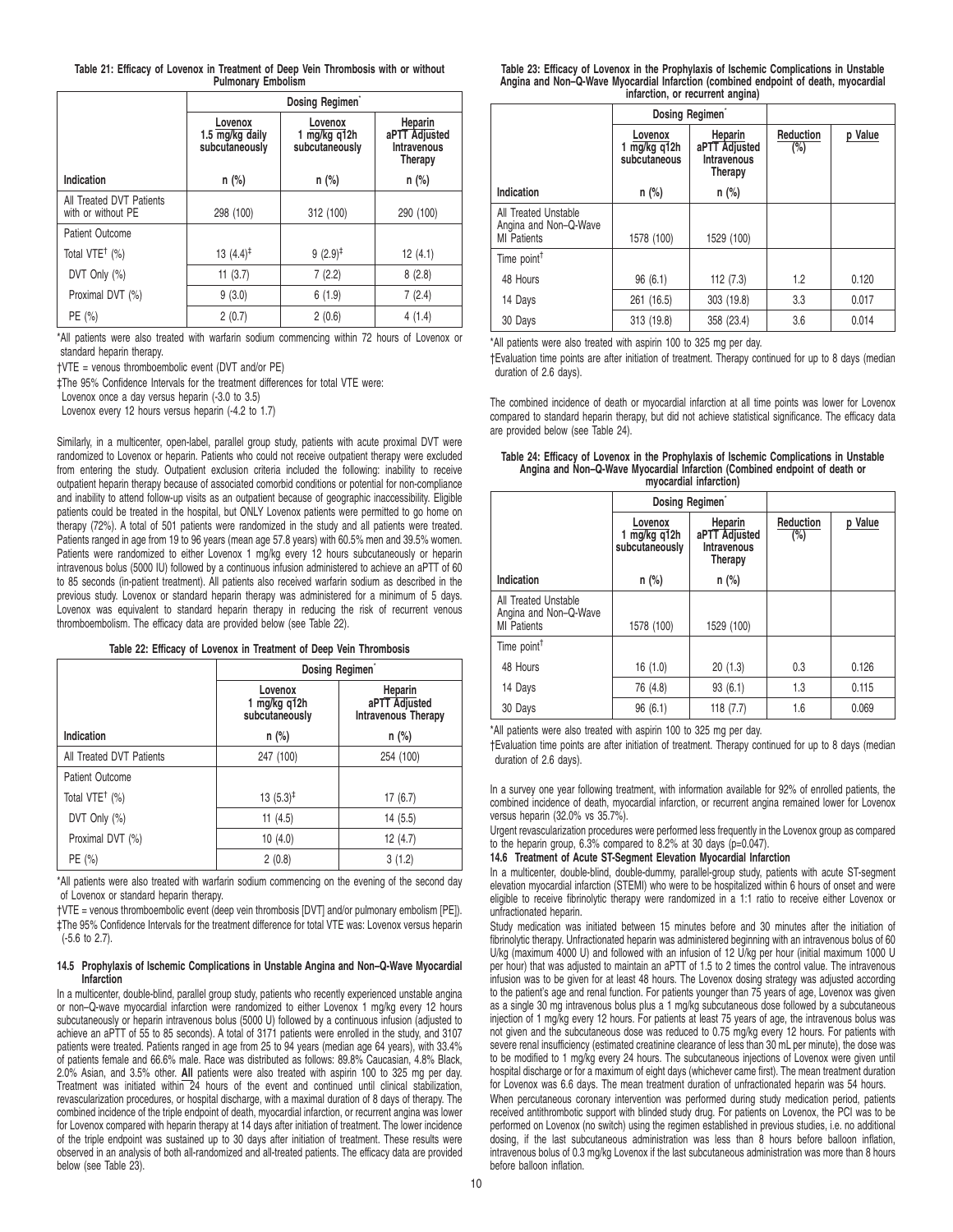|  |  |  |                           |  | Table 21: Efficacy of Lovenox in Treatment of Deep Vein Thrombosis with or without |  |  |
|--|--|--|---------------------------|--|------------------------------------------------------------------------------------|--|--|
|  |  |  | <b>Pulmonary Embolism</b> |  |                                                                                    |  |  |

|                                                | Dosing Regimen                                                                            |                     |                                                    |  |  |  |
|------------------------------------------------|-------------------------------------------------------------------------------------------|---------------------|----------------------------------------------------|--|--|--|
|                                                | Lovenox<br>Lovenox<br>1.5 mg/kg daily<br>1 mg/kg q12h<br>subcutaneously<br>subcutaneously |                     | Heparin<br>aPTT Adjusted<br>Intravenous<br>Therapy |  |  |  |
| Indication                                     | $n$ (%)                                                                                   | $n$ (%)             | n (%)                                              |  |  |  |
| All Treated DVT Patients<br>with or without PE | 298 (100)                                                                                 | 312 (100)           | 290 (100)                                          |  |  |  |
| Patient Outcome                                |                                                                                           |                     |                                                    |  |  |  |
| Total VTE <sup>†</sup> (%)                     | $13(4.4)^{\ddagger}$                                                                      | $9(2.9)^{\ddagger}$ | 12(4.1)                                            |  |  |  |
| DVT Only $(\%)$                                | 11(3.7)                                                                                   | 7(2.2)              | 8(2.8)                                             |  |  |  |
| Proximal DVT (%)                               | 9(3.0)                                                                                    | 6(1.9)              | 7(2.4)                                             |  |  |  |
| PE (%)                                         | 2(0.7)                                                                                    | 2(0.6)              | 4(1.4)                                             |  |  |  |

\*All patients were also treated with warfarin sodium commencing within 72 hours of Lovenox or standard heparin therapy.

†VTE = venous thromboembolic event (DVT and/or PE)

‡The 95% Confidence Intervals for the treatment differences for total VTE were:

Lovenox once a day versus heparin (-3.0 to 3.5)

Lovenox every 12 hours versus heparin (-4.2 to 1.7)

Similarly, in a multicenter, open-label, parallel group study, patients with acute proximal DVT were randomized to Lovenox or heparin. Patients who could not receive outpatient therapy were excluded from entering the study. Outpatient exclusion criteria included the following: inability to receive outpatient heparin therapy because of associated comorbid conditions or potential for non-compliance and inability to attend follow-up visits as an outpatient because of geographic inaccessibility. Eligible patients could be treated in the hospital, but ONLY Lovenox patients were permitted to go home on therapy (72%). A total of 501 patients were randomized in the study and all patients were treated. Patients ranged in age from 19 to 96 years (mean age 57.8 years) with 60.5% men and 39.5% women. Patients were randomized to either Lovenox 1 mg/kg every 12 hours subcutaneously or heparin intravenous bolus (5000 IU) followed by a continuous infusion administered to achieve an aPTT of 60 to 85 seconds (in-patient treatment). All patients also received warfarin sodium as described in the previous study. Lovenox or standard heparin therapy was administered for a minimum of 5 days. Lovenox was equivalent to standard heparin therapy in reducing the risk of recurrent venous thromboembolism. The efficacy data are provided below (see Table 22).

#### **Table 22: Efficacy of Lovenox in Treatment of Deep Vein Thrombosis**

|                                               | Dosing Regimen                            |                                                        |  |  |  |
|-----------------------------------------------|-------------------------------------------|--------------------------------------------------------|--|--|--|
|                                               | Lovenox<br>1 mg/kg q12h<br>subcutaneously | Heparin<br>aPTT Adjusted<br><b>Intravenous Therapy</b> |  |  |  |
| Indication                                    | $n$ (%)                                   | n (%)                                                  |  |  |  |
| All Treated DVT Patients                      | 247 (100)                                 | 254 (100)                                              |  |  |  |
| Patient Outcome                               |                                           |                                                        |  |  |  |
| Total VTE <sup><math>\dagger</math></sup> (%) | 13 $(5.3)^{\ddagger}$                     | 17(6.7)                                                |  |  |  |
| DVT Only (%)                                  | 11 $(4.5)$                                | 14(5.5)                                                |  |  |  |
| Proximal DVT (%)                              | 10(4.0)                                   | 12 (4.7)                                               |  |  |  |
| PE (%)                                        | 2(0.8)                                    | 3(1.2)                                                 |  |  |  |

\*All patients were also treated with warfarin sodium commencing on the evening of the second day of Lovenox or standard heparin therapy.

†VTE = venous thromboembolic event (deep vein thrombosis [DVT] and/or pulmonary embolism [PE]). ‡The 95% Confidence Intervals for the treatment difference for total VTE was: Lovenox versus heparin (-5.6 to 2.7).

## **14.5 Prophylaxis of Ischemic Complications in Unstable Angina and Non–Q-Wave Myocardial Infarction**

In a multicenter, double-blind, parallel group study, patients who recently experienced unstable angina or non–Q-wave myocardial infarction were randomized to either Lovenox 1 mg/kg every 12 hours subcutaneously or heparin intravenous bolus (5000 U) followed by a continuous infusion (adjusted to achieve an aPTT of 55 to 85 seconds). A total of 3171 patients were enrolled in the study, and 3107 patients were treated. Patients ranged in age from 25 to 94 years (median age 64 years), with 33.4% of patients female and 66.6% male. Race was distributed as follows: 89.8% Caucasian, 4.8% Black, 2.0% Asian, and 3.5% other. **All** patients were also treated with aspirin 100 to 325 mg per day. Treatment was initiated within 24 hours of the event and continued until clinical stabilization, revascularization procedures, or hospital discharge, with a maximal duration of 8 days of therapy. The combined incidence of the triple endpoint of death, myocardial infarction, or recurrent angina was lower for Lovenox compared with heparin therapy at 14 days after initiation of treatment. The lower incidence of the triple endpoint was sustained up to 30 days after initiation of treatment. These results were observed in an analysis of both all-randomized and all-treated patients. The efficacy data are provided below (see Table 23).

| Table 23: Efficacy of Lovenox in the Prophylaxis of Ischemic Complications in Unstable |
|----------------------------------------------------------------------------------------|
| Angina and Non–Q-Wave Myocardial Infarction (combined endpoint of death, myocardial    |
| infarction, or recurrent angina)                                                       |

|                                                                     | Dosing Regimen <sup>*</sup>                                                                          |            |                     |         |
|---------------------------------------------------------------------|------------------------------------------------------------------------------------------------------|------------|---------------------|---------|
|                                                                     | Heparin<br>Lovenox<br>aPTT Adjusted<br>1 mg/kg g12h<br>subcutaneous<br><b>Intravenous</b><br>Therapy |            | Reduction<br>$(\%)$ | p Value |
| Indication                                                          | n (%)                                                                                                | $n$ (%)    |                     |         |
| All Treated Unstable<br>Angina and Non-Q-Wave<br><b>MI</b> Patients | 1578 (100)                                                                                           | 1529 (100) |                     |         |
| Time point <sup>†</sup>                                             |                                                                                                      |            |                     |         |
| 48 Hours                                                            | 96(6.1)                                                                                              | 112 (7.3)  | 1.2                 | 0.120   |
| 14 Days                                                             | 261 (16.5)                                                                                           | 303 (19.8) | 3.3                 | 0.017   |
| 30 Days                                                             | 313 (19.8)                                                                                           | 358 (23.4) | 3.6                 | 0.014   |

\*All patients were also treated with aspirin 100 to 325 mg per day.

†Evaluation time points are after initiation of treatment. Therapy continued for up to 8 days (median duration of 2.6 days).

The combined incidence of death or myocardial infarction at all time points was lower for Lovenox compared to standard heparin therapy, but did not achieve statistical significance. The efficacy data are provided below (see Table 24).

#### **Table 24: Efficacy of Lovenox in the Prophylaxis of Ischemic Complications in Unstable Angina and Non–Q-Wave Myocardial Infarction (Combined endpoint of death or myocardial infarction)**

|                                                              | Dosing Regimen <sup>®</sup>                                                                              |            |                  |         |
|--------------------------------------------------------------|----------------------------------------------------------------------------------------------------------|------------|------------------|---------|
|                                                              | Heparin<br>Lovenox<br>aPTT Adjusted<br>1 $mg/kg$ q12h<br>subcutaneously<br><b>Intravenous</b><br>Therapy |            | Reduction<br>(%) | p Value |
| Indication                                                   | $n$ (%)                                                                                                  | n (%)      |                  |         |
| All Treated Unstable<br>Angina and Non-Q-Wave<br>MI Patients | 1578 (100)                                                                                               | 1529 (100) |                  |         |
| Time point <sup>†</sup>                                      |                                                                                                          |            |                  |         |
| 48 Hours                                                     | 16(1.0)                                                                                                  | 20(1.3)    | 0.3              | 0.126   |
| 14 Days                                                      | 76 (4.8)                                                                                                 | 93(6.1)    | 1.3              | 0.115   |
| 30 Days                                                      | 96(6.1)                                                                                                  | 118(7.7)   | 1.6              | 0.069   |

\*All patients were also treated with aspirin 100 to 325 mg per day.

†Evaluation time points are after initiation of treatment. Therapy continued for up to 8 days (median duration of 2.6 days).

In a survey one year following treatment, with information available for 92% of enrolled patients, the combined incidence of death, myocardial infarction, or recurrent angina remained lower for Lovenox versus heparin (32.0% vs 35.7%).

Urgent revascularization procedures were performed less frequently in the Lovenox group as compared to the heparin group,  $6.3\%$  compared to  $8.2\%$  at 30 days ( $p=0.047$ ).

**14.6 Treatment of Acute ST-Segment Elevation Myocardial Infarction**

In a multicenter, double-blind, double-dummy, parallel-group study, patients with acute ST-segment elevation myocardial infarction (STEMI) who were to be hospitalized within 6 hours of onset and were eligible to receive fibrinolytic therapy were randomized in a 1:1 ratio to receive either Lovenox or unfractionated heparin.

Study medication was initiated between 15 minutes before and 30 minutes after the initiation of fibrinolytic therapy. Unfractionated heparin was administered beginning with an intravenous bolus of 60 U/kg (maximum 4000 U) and followed with an infusion of 12 U/kg per hour (initial maximum 1000 U per hour) that was adjusted to maintain an aPTT of 1.5 to 2 times the control value. The intravenous infusion was to be given for at least 48 hours. The Lovenox dosing strategy was adjusted according to the patient's age and renal function. For patients younger than 75 years of age, Lovenox was given as a single 30 mg intravenous bolus plus a 1 mg/kg subcutaneous dose followed by a subcutaneous injection of 1 mg/kg every 12 hours. For patients at least 75 years of age, the intravenous bolus was not given and the subcutaneous dose was reduced to 0.75 mg/kg every 12 hours. For patients with severe renal insufficiency (estimated creatinine clearance of less than 30 mL per minute), the dose was to be modified to 1 mg/kg every 24 hours. The subcutaneous injections of Lovenox were given until hospital discharge or for a maximum of eight days (whichever came first). The mean treatment duration for Lovenox was 6.6 days. The mean treatment duration of unfractionated heparin was 54 hours.

When percutaneous coronary intervention was performed during study medication period, patients received antithrombotic support with blinded study drug. For patients on Lovenox, the PCI was to be performed on Lovenox (no switch) using the regimen established in previous studies, i.e. no additional dosing, if the last subcutaneous administration was less than 8 hours before balloon inflation, intravenous bolus of 0.3 mg/kg Lovenox if the last subcutaneous administration was more than 8 hours before balloon inflation.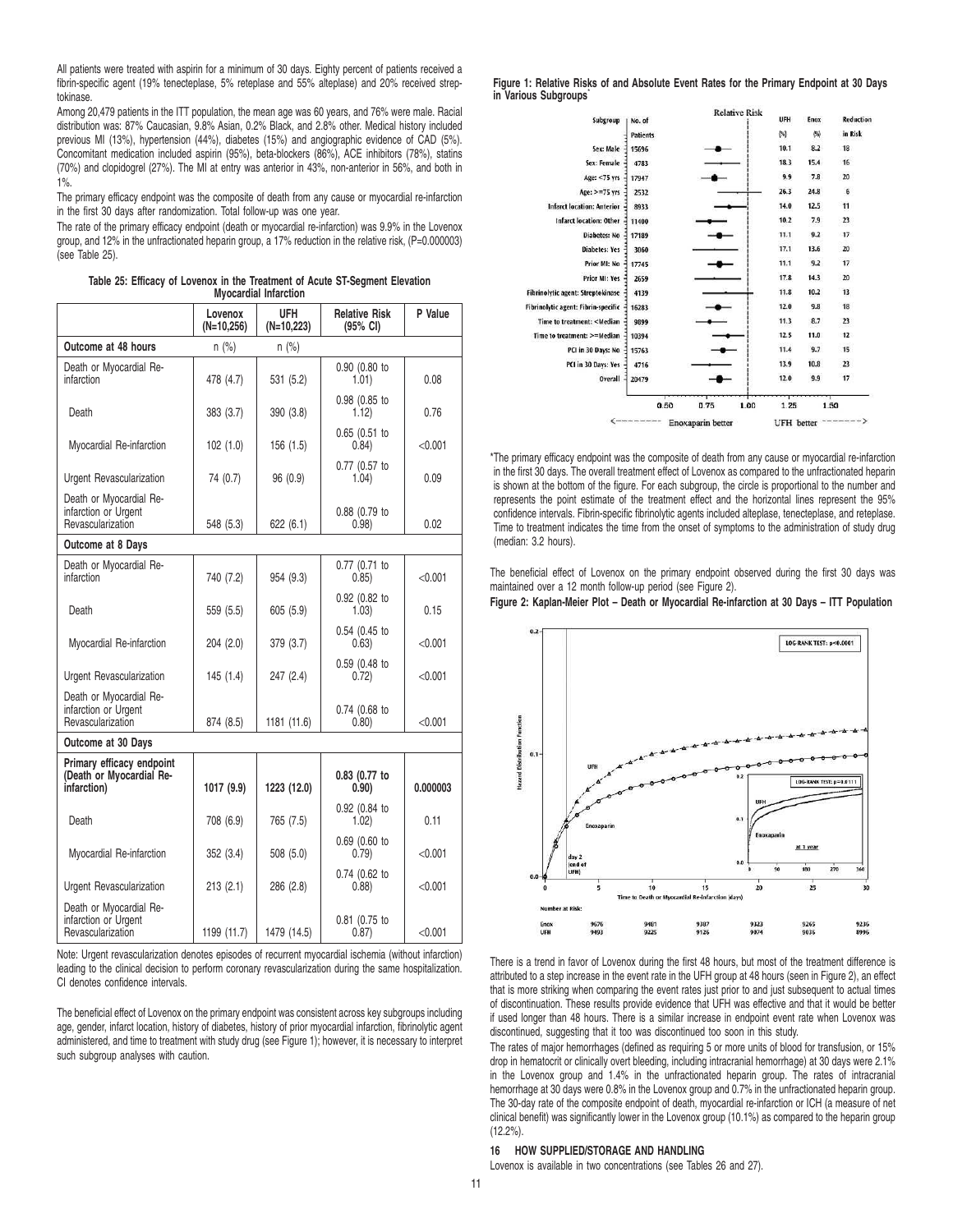All patients were treated with aspirin for a minimum of 30 days. Eighty percent of patients received a fibrin-specific agent (19% tenecteplase, 5% reteplase and 55% alteplase) and 20% received streptokinase.

Among 20,479 patients in the ITT population, the mean age was 60 years, and 76% were male. Racial distribution was: 87% Caucasian, 9.8% Asian, 0.2% Black, and 2.8% other. Medical history included previous MI (13%), hypertension (44%), diabetes (15%) and angiographic evidence of CAD (5%). Concomitant medication included aspirin (95%), beta-blockers (86%), ACE inhibitors (78%), statins (70%) and clopidogrel (27%). The MI at entry was anterior in 43%, non-anterior in 56%, and both in 1%.

The primary efficacy endpoint was the composite of death from any cause or myocardial re-infarction in the first 30 days after randomization. Total follow-up was one year.

The rate of the primary efficacy endpoint (death or myocardial re-infarction) was 9.9% in the Lovenox group, and 12% in the unfractionated heparin group, a 17% reduction in the relative risk, (P=0.000003) (see Table 25).

| Table 25: Efficacy of Lovenox in the Treatment of Acute ST-Segment Elevation |  |
|------------------------------------------------------------------------------|--|
| <b>Myocardial Infarction</b>                                                 |  |

|                                                                      | Lovenox<br>$(N=10,256)$ | UFH<br>$(N=10,223)$ | <b>Relative Risk</b><br>$(95% \text{ Cl})$ | P Value  |
|----------------------------------------------------------------------|-------------------------|---------------------|--------------------------------------------|----------|
| Outcome at 48 hours                                                  | $n$ (%)                 | $n$ (%)             |                                            |          |
| Death or Myocardial Re-<br>infarction                                | 478 (4.7)               | 531 (5.2)           | 0.90 (0.80 to<br>1.01)                     | 0.08     |
| Death                                                                | 383(3.7)                | 390 (3.8)           | 0.98 (0.85 to<br>1.12)                     | 0.76     |
| Myocardial Re-infarction                                             | 102(1.0)                | 156(1.5)            | $0.65$ $(0.51$ to<br>0.84)                 | < 0.001  |
| Urgent Revascularization                                             | 74 (0.7)                | 96(0.9)             | 0.77 (0.57 to<br>1.04)                     | 0.09     |
| Death or Myocardial Re-<br>infarction or Urgent<br>Revascularization | 548 (5.3)               | 622 (6.1)           | 0.88 (0.79 to<br>0.98)                     | 0.02     |
| Outcome at 8 Days                                                    |                         |                     |                                            |          |
| Death or Myocardial Re-<br>infarction                                | 740 (7.2)               | 954 (9.3)           | 0.77 (0.71 to<br>0.85)                     | < 0.001  |
| Death                                                                | 559 (5.5)               | 605(5.9)            | 0.92 (0.82 to<br>1.03)                     | 0.15     |
| Myocardial Re-infarction                                             | 204 (2.0)               | 379 (3.7)           | 0.54 (0.45 to<br>0.63)                     | < 0.001  |
| Urgent Revascularization                                             | 145 (1.4)               | 247 (2.4)           | 0.59 (0.48 to<br>0.72)                     | < 0.001  |
| Death or Myocardial Re-<br>infarction or Urgent<br>Revascularization | 874 (8.5)               | 1181 (11.6)         | 0.74 (0.68 to<br>0.80)                     | < 0.001  |
| Outcome at 30 Days                                                   |                         |                     |                                            |          |
| Primary efficacy endpoint<br>(Death or Myocardial Re-<br>infarction) | 1017 (9.9)              | 1223 (12.0)         | 0.83 (0.77 to<br>0.90)                     | 0.000003 |
| Death                                                                | 708 (6.9)               | 765 (7.5)           | 0.92 (0.84 to<br>1.02)                     | 0.11     |
| Myocardial Re-infarction                                             | 352 (3.4)               | 508(5.0)            | $0.69$ $(0.60$ to<br>0.79)                 | < 0.001  |
| Urgent Revascularization                                             | 213(2.1)                | 286 (2.8)           | 0.74 (0.62 to<br>0.88)                     | < 0.001  |
| Death or Myocardial Re-<br>infarction or Urgent<br>Revascularization | 1199 (11.7)             | 1479 (14.5)         | 0.81 (0.75 to<br>0.87)                     | < 0.001  |

Note: Urgent revascularization denotes episodes of recurrent myocardial ischemia (without infarction) leading to the clinical decision to perform coronary revascularization during the same hospitalization. CI denotes confidence intervals.

The beneficial effect of Lovenox on the primary endpoint was consistent across key subgroups including age, gender, infarct location, history of diabetes, history of prior myocardial infarction, fibrinolytic agent administered, and time to treatment with study drug (see Figure 1); however, it is necessary to interpret such subgroup analyses with caution.

**Figure 1: Relative Risks of and Absolute Event Rates for the Primary Endpoint at 30 Days in Various Subgroups**\*  $2.1.4 - 2.1$ 

| No. of<br><b>Patients</b><br>15696<br>4783<br>17947<br>2532<br>8933<br>11400 |                                                                                            | UFH<br>[%]<br>10.1<br>18.3<br>9.9<br>26.3<br>14.0 | Enox<br>$(\% )$<br>8.2<br>15.4<br>7.8<br>24.8<br>12.5 | Reduction<br>in Risk<br>18<br>16<br>20<br>6 |
|------------------------------------------------------------------------------|--------------------------------------------------------------------------------------------|---------------------------------------------------|-------------------------------------------------------|---------------------------------------------|
|                                                                              |                                                                                            |                                                   |                                                       |                                             |
|                                                                              |                                                                                            |                                                   |                                                       |                                             |
|                                                                              |                                                                                            |                                                   |                                                       |                                             |
|                                                                              |                                                                                            |                                                   |                                                       |                                             |
|                                                                              |                                                                                            |                                                   |                                                       |                                             |
|                                                                              |                                                                                            |                                                   |                                                       | 11                                          |
|                                                                              |                                                                                            | 10.2                                              | 7.9                                                   | 23                                          |
|                                                                              |                                                                                            | 11.1                                              | 9.2                                                   | 17                                          |
|                                                                              |                                                                                            | 17.1                                              | 13.6                                                  | 20                                          |
|                                                                              |                                                                                            | 11.1                                              | 9.2                                                   | 17                                          |
|                                                                              |                                                                                            | 17.8                                              | 14.3                                                  | 20                                          |
|                                                                              |                                                                                            | 11.8                                              | 10.2                                                  | 13                                          |
|                                                                              |                                                                                            | 12.0                                              | 9.8                                                   | 18                                          |
|                                                                              |                                                                                            | 11.3                                              | 8.7                                                   | 23                                          |
|                                                                              |                                                                                            | 12.5                                              | 11.0                                                  | 12                                          |
|                                                                              |                                                                                            | 11.4                                              | 9.7                                                   | 15                                          |
|                                                                              |                                                                                            | 13.9                                              | 10.8                                                  | 23                                          |
|                                                                              |                                                                                            | 12.0                                              | 9.9                                                   | 17                                          |
| 0.50                                                                         | 0.75                                                                                       | 1.25                                              |                                                       |                                             |
|                                                                              | 17189<br>3060<br>17745<br>2659<br>4139<br>16283<br>9899<br>10394<br>15763<br>4716<br>20479 | Enoxaparin better                                 | 1.00                                                  | 1.50<br><b>UFH</b> better                   |

\*The primary efficacy endpoint was the composite of death from any cause or myocardial re-infarction in the first 30 days. The overall treatment effect of Lovenox as compared to the unfractionated heparin is shown at the bottom of the figure. For each subgroup, the circle is proportional to the number and represents the point estimate of the treatment effect and the horizontal lines represent the 95% confidence intervals. Fibrin-specific fibrinolytic agents included alteplase, tenecteplase, and reteplase. Time to treatment indicates the time from the onset of symptoms to the administration of study drug (median: 3.2 hours).

The beneficial effect of Lovenox on the primary endpoint observed during the first 30 days was maintained over a 12 month follow-up period (see Figure 2).

## **Figure 2: Kaplan-Meier Plot – Death or Myocardial Re-infarction at 30 Days – ITT Population**



There is a trend in favor of Lovenox during the first 48 hours, but most of the treatment difference is attributed to a step increase in the event rate in the UFH group at 48 hours (seen in Figure 2), an effect that is more striking when comparing the event rates just prior to and just subsequent to actual times of discontinuation. These results provide evidence that UFH was effective and that it would be better if used longer than 48 hours. There is a similar increase in endpoint event rate when Lovenox was discontinued, suggesting that it too was discontinued too soon in this study.

The rates of major hemorrhages (defined as requiring 5 or more units of blood for transfusion, or 15% drop in hematocrit or clinically overt bleeding, including intracranial hemorrhage) at 30 days were 2.1% in the Lovenox group and 1.4% in the unfractionated heparin group. The rates of intracranial hemorrhage at 30 days were 0.8% in the Lovenox group and 0.7% in the unfractionated heparin group. The 30-day rate of the composite endpoint of death, myocardial re-infarction or ICH (a measure of net clinical benefit) was significantly lower in the Lovenox group (10.1%) as compared to the heparin group  $(12.2%$ 

## **16 HOW SUPPLIED/STORAGE AND HANDLING**

Lovenox is available in two concentrations (see Tables 26 and 27).